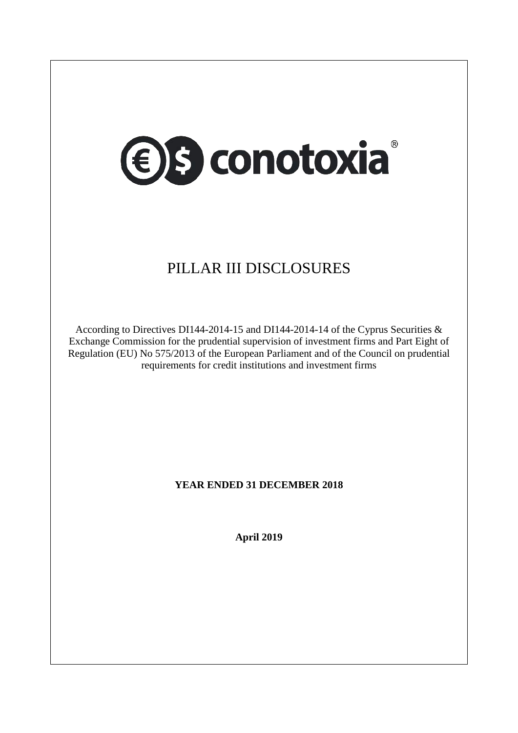

# PILLAR III DISCLOSURES

According to Directives DI144-2014-15 and DI144-2014-14 of the Cyprus Securities & Exchange Commission for the prudential supervision of investment firms and Part Eight of Regulation (EU) No 575/2013 of the European Parliament and of the Council on prudential requirements for credit institutions and investment firms

# **YEAR ENDED 31 DECEMBER 2018**

**April 2019**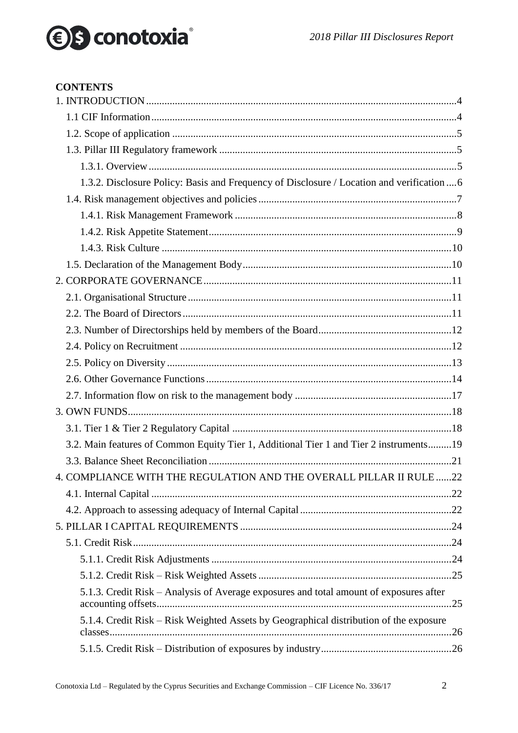# *<u>●</u>S* conotoxia®

# 2018 Pillar III Disclosures Report

#### **CONTENTS**

| 1.3.2. Disclosure Policy: Basis and Frequency of Disclosure / Location and verification  6 |  |
|--------------------------------------------------------------------------------------------|--|
|                                                                                            |  |
|                                                                                            |  |
|                                                                                            |  |
|                                                                                            |  |
|                                                                                            |  |
|                                                                                            |  |
|                                                                                            |  |
|                                                                                            |  |
|                                                                                            |  |
|                                                                                            |  |
|                                                                                            |  |
|                                                                                            |  |
|                                                                                            |  |
|                                                                                            |  |
|                                                                                            |  |
| 3.2. Main features of Common Equity Tier 1, Additional Tier 1 and Tier 2 instruments19     |  |
|                                                                                            |  |
| 4. COMPLIANCE WITH THE REGULATION AND THE OVERALL PILLAR II RULE  22                       |  |
|                                                                                            |  |
|                                                                                            |  |
|                                                                                            |  |
|                                                                                            |  |
|                                                                                            |  |
|                                                                                            |  |
| 5.1.3. Credit Risk - Analysis of Average exposures and total amount of exposures after     |  |
| 5.1.4. Credit Risk - Risk Weighted Assets by Geographical distribution of the exposure     |  |
|                                                                                            |  |
|                                                                                            |  |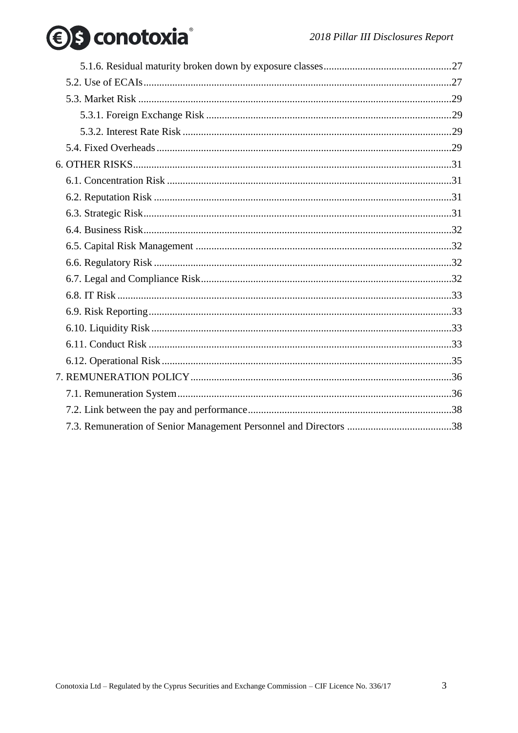# *<u>●</u>S* conotoxia®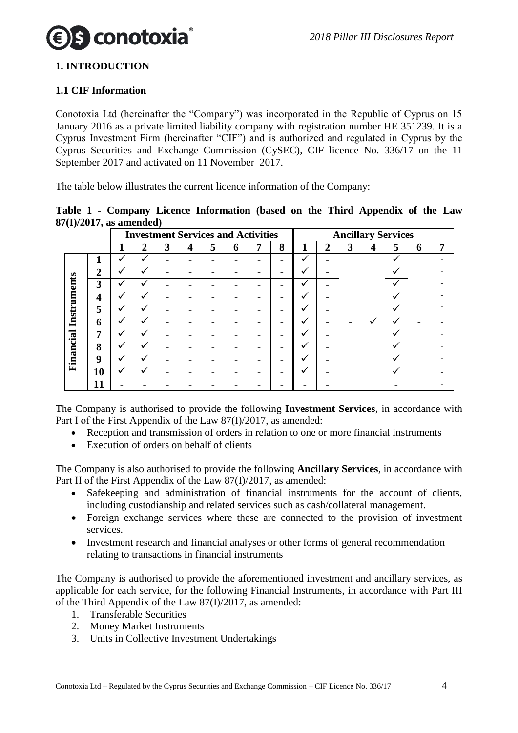

# <span id="page-3-0"></span>**1. INTRODUCTION**

#### <span id="page-3-1"></span>**1.1 CIF Information**

Conotoxia Ltd (hereinafter the "Company") was incorporated in the Republic of Cyprus on 15 January 2016 as a private limited liability company with registration number HE 351239. It is a Cyprus Investment Firm (hereinafter "CIF") and is authorized and regulated in Cyprus by the Cyprus Securities and Exchange Commission (CySEC), CIF licence No. 336/17 on the 11 September 2017 and activated on 11 November 2017.

The table below illustrates the current licence information of the Company:

|                            |  | Table 1 - Company Licence Information (based on the Third Appendix of the Law |  |  |  |  |
|----------------------------|--|-------------------------------------------------------------------------------|--|--|--|--|
| $87(I)/2017$ , as amended) |  |                                                                               |  |  |  |  |

|             |                  | <b>Investment Services and Activities</b> |                |                          |                          |   |   |   |   |              |              | <b>Ancillary Services</b> |   |              |   |                |  |              |  |  |
|-------------|------------------|-------------------------------------------|----------------|--------------------------|--------------------------|---|---|---|---|--------------|--------------|---------------------------|---|--------------|---|----------------|--|--------------|--|--|
|             |                  |                                           | $\overline{2}$ | 3                        | 4                        | 5 | 6 | 7 | 8 | 1            | $\mathbf{2}$ | 3                         | 4 | 5            | 6 | $\overline{7}$ |  |              |  |  |
|             |                  | ✓                                         | ✓              |                          | $\overline{\phantom{0}}$ |   |   |   | - | $\checkmark$ |              |                           |   |              |   |                |  | $\checkmark$ |  |  |
|             | $\overline{2}$   |                                           | ✓              |                          |                          |   |   |   |   | ✔            |              |                           |   | w<br>v       |   |                |  |              |  |  |
|             | $\overline{3}$   |                                           | ✓              | $\overline{\phantom{0}}$ | $\overline{\phantom{0}}$ |   |   |   | - | ✓            |              |                           |   |              |   |                |  |              |  |  |
|             | 4                |                                           | ✓              | $\overline{\phantom{0}}$ | $\overline{\phantom{a}}$ |   |   |   | - | ✓            |              |                           |   |              |   |                |  |              |  |  |
| Instruments | 5                | √                                         | ✓              | $\overline{\phantom{0}}$ | $\overline{\phantom{0}}$ |   |   |   | - | ✓            |              |                           |   | ✓            |   |                |  |              |  |  |
|             | 6                |                                           | ✓              |                          | $\overline{\phantom{0}}$ |   |   |   | - | √            |              |                           |   |              |   |                |  |              |  |  |
|             | 7                |                                           | ✓              |                          |                          |   |   |   | - | $\checkmark$ |              |                           |   |              | v |                |  |              |  |  |
| Financial   | 8                | ✓                                         | ✓              |                          | $\overline{\phantom{0}}$ |   |   |   | - | ✓            |              |                           |   |              | ✓ |                |  |              |  |  |
|             | $\boldsymbol{9}$ |                                           |                |                          |                          |   |   |   |   |              |              |                           |   | $\checkmark$ |   |                |  |              |  |  |
|             | 10               |                                           | ✓              |                          |                          |   |   |   |   | ັ            |              |                           |   | v            |   |                |  |              |  |  |
|             | 11               |                                           |                |                          |                          |   |   |   |   |              |              |                           |   |              |   |                |  |              |  |  |

The Company is authorised to provide the following **Investment Services**, in accordance with Part I of the First Appendix of the Law 87(I)/2017, as amended:

- Reception and transmission of orders in relation to one or more financial instruments
- Execution of orders on behalf of clients

The Company is also authorised to provide the following **Ancillary Services**, in accordance with Part II of the First Appendix of the Law 87(I)/2017, as amended:

- Safekeeping and administration of financial instruments for the account of clients, including custodianship and related services such as cash/collateral management.
- Foreign exchange services where these are connected to the provision of investment services.
- Investment research and financial analyses or other forms of general recommendation relating to transactions in financial instruments

The Company is authorised to provide the aforementioned investment and ancillary services, as applicable for each service, for the following Financial Instruments, in accordance with Part III of the Third Appendix of the Law 87(I)/2017, as amended:

- 1. Transferable Securities
- 2. Money Market Instruments
- 3. Units in Collective Investment Undertakings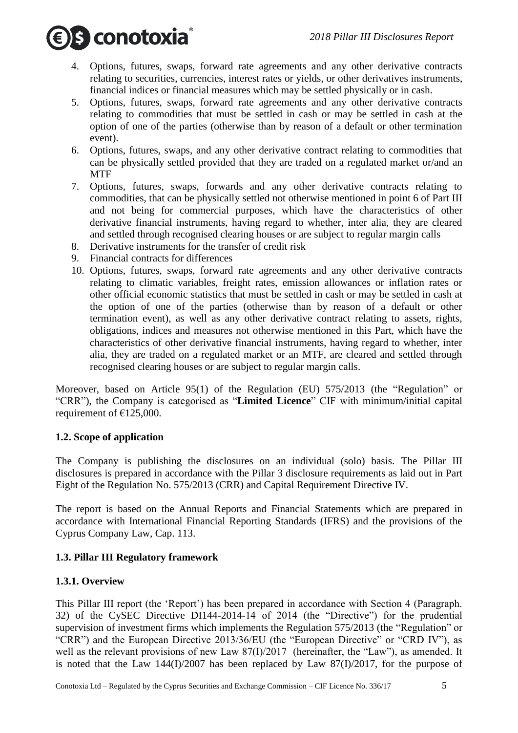

- 4. Options, futures, swaps, forward rate agreements and any other derivative contracts relating to securities, currencies, interest rates or yields, or other derivatives instruments, financial indices or financial measures which may be settled physically or in cash.
- 5. Options, futures, swaps, forward rate agreements and any other derivative contracts relating to commodities that must be settled in cash or may be settled in cash at the option of one of the parties (otherwise than by reason of a default or other termination event).
- 6. Options, futures, swaps, and any other derivative contract relating to commodities that can be physically settled provided that they are traded on a regulated market or/and an MTF
- 7. Options, futures, swaps, forwards and any other derivative contracts relating to commodities, that can be physically settled not otherwise mentioned in point 6 of Part III and not being for commercial purposes, which have the characteristics of other derivative financial instruments, having regard to whether, inter alia, they are cleared and settled through recognised clearing houses or are subject to regular margin calls
- 8. Derivative instruments for the transfer of credit risk
- 9. Financial contracts for differences
- 10. Options, futures, swaps, forward rate agreements and any other derivative contracts relating to climatic variables, freight rates, emission allowances or inflation rates or other official economic statistics that must be settled in cash or may be settled in cash at the option of one of the parties (otherwise than by reason of a default or other termination event), as well as any other derivative contract relating to assets, rights, obligations, indices and measures not otherwise mentioned in this Part, which have the characteristics of other derivative financial instruments, having regard to whether, inter alia, they are traded on a regulated market or an MTF, are cleared and settled through recognised clearing houses or are subject to regular margin calls.

Moreover, based on Article 95(1) of the Regulation (EU) 575/2013 (the "Regulation" or "CRR"), the Company is categorised as "**Limited Licence**" CIF with minimum/initial capital requirement of  $£125,000$ .

# <span id="page-4-0"></span>**1.2. Scope of application**

The Company is publishing the disclosures on an individual (solo) basis. The Pillar III disclosures is prepared in accordance with the Pillar 3 disclosure requirements as laid out in Part Eight of the Regulation No. 575/2013 (CRR) and Capital Requirement Directive IV.

The report is based on the Annual Reports and Financial Statements which are prepared in accordance with International Financial Reporting Standards (IFRS) and the provisions of the Cyprus Company Law, Cap. 113.

# <span id="page-4-1"></span>**1.3. Pillar III Regulatory framework**

# <span id="page-4-2"></span>**1.3.1. Overview**

This Pillar III report (the 'Report') has been prepared in accordance with Section 4 (Paragraph. 32) of the CySEC Directive DI144-2014-14 of 2014 (the "Directive") for the prudential supervision of investment firms which implements the Regulation 575/2013 (the "Regulation" or "CRR") and the European Directive 2013/36/EU (the "European Directive" or "CRD IV"), as well as the relevant provisions of new Law 87(I)/2017 (hereinafter, the "Law"), as amended. It is noted that the Law  $144(I)/2007$  has been replaced by Law  $87(I)/2017$ , for the purpose of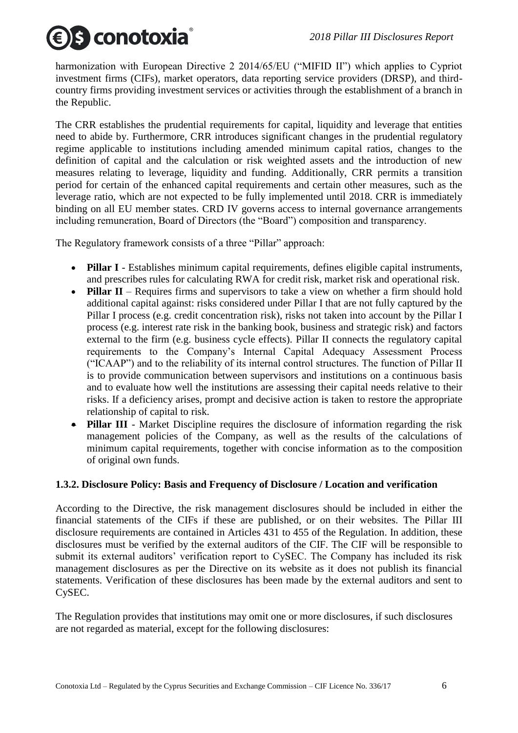# S conotoxia

harmonization with European Directive 2 2014/65/EU ("MIFID II") which applies to Cypriot investment firms (CIFs), market operators, data reporting service providers (DRSP), and thirdcountry firms providing investment services or activities through the establishment of a branch in the Republic.

The CRR establishes the prudential requirements for capital, liquidity and leverage that entities need to abide by. Furthermore, CRR introduces significant changes in the prudential regulatory regime applicable to institutions including amended minimum capital ratios, changes to the definition of capital and the calculation or risk weighted assets and the introduction of new measures relating to leverage, liquidity and funding. Additionally, CRR permits a transition period for certain of the enhanced capital requirements and certain other measures, such as the leverage ratio, which are not expected to be fully implemented until 2018. CRR is immediately binding on all EU member states. CRD IV governs access to internal governance arrangements including remuneration, Board of Directors (the "Board") composition and transparency.

The Regulatory framework consists of a three "Pillar" approach:

- **Pillar I** Establishes minimum capital requirements, defines eligible capital instruments, and prescribes rules for calculating RWA for credit risk, market risk and operational risk.
- **Pillar II** Requires firms and supervisors to take a view on whether a firm should hold additional capital against: risks considered under Pillar I that are not fully captured by the Pillar I process (e.g. credit concentration risk), risks not taken into account by the Pillar I process (e.g. interest rate risk in the banking book, business and strategic risk) and factors external to the firm (e.g. business cycle effects). Pillar II connects the regulatory capital requirements to the Company's Internal Capital Adequacy Assessment Process ("ICAAP") and to the reliability of its internal control structures. The function of Pillar II is to provide communication between supervisors and institutions on a continuous basis and to evaluate how well the institutions are assessing their capital needs relative to their risks. If a deficiency arises, prompt and decisive action is taken to restore the appropriate relationship of capital to risk.
- **Pillar III** Market Discipline requires the disclosure of information regarding the risk management policies of the Company, as well as the results of the calculations of minimum capital requirements, together with concise information as to the composition of original own funds.

# <span id="page-5-0"></span>**1.3.2. Disclosure Policy: Basis and Frequency of Disclosure / Location and verification**

According to the Directive, the risk management disclosures should be included in either the financial statements of the CIFs if these are published, or on their websites. The Pillar III disclosure requirements are contained in Articles 431 to 455 of the Regulation. In addition, these disclosures must be verified by the external auditors of the CIF. The CIF will be responsible to submit its external auditors' verification report to CySEC. The Company has included its risk management disclosures as per the Directive on its website as it does not publish its financial statements. Verification of these disclosures has been made by the external auditors and sent to CySEC.

The Regulation provides that institutions may omit one or more disclosures, if such disclosures are not regarded as material, except for the following disclosures: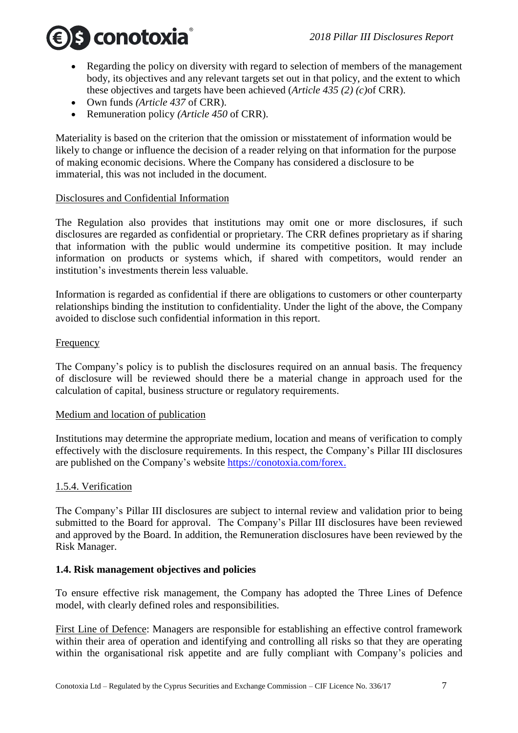

- Regarding the policy on diversity with regard to selection of members of the management body, its objectives and any relevant targets set out in that policy, and the extent to which these objectives and targets have been achieved (*Article 435 (2) (c)*of CRR).
- Own funds *(Article 437* of CRR).
- Remuneration policy *(Article 450* of CRR).

Materiality is based on the criterion that the omission or misstatement of information would be likely to change or influence the decision of a reader relying on that information for the purpose of making economic decisions. Where the Company has considered a disclosure to be immaterial, this was not included in the document.

#### Disclosures and Confidential Information

The Regulation also provides that institutions may omit one or more disclosures, if such disclosures are regarded as confidential or proprietary. The CRR defines proprietary as if sharing that information with the public would undermine its competitive position. It may include information on products or systems which, if shared with competitors, would render an institution's investments therein less valuable.

Information is regarded as confidential if there are obligations to customers or other counterparty relationships binding the institution to confidentiality. Under the light of the above, the Company avoided to disclose such confidential information in this report.

#### **Frequency**

The Company's policy is to publish the disclosures required on an annual basis. The frequency of disclosure will be reviewed should there be a material change in approach used for the calculation of capital, business structure or regulatory requirements.

#### Medium and location of publication

Institutions may determine the appropriate medium, location and means of verification to comply effectively with the disclosure requirements. In this respect, the Company's Pillar III disclosures are published on the Company's website https://conotoxia.com/forex.

#### 1.5.4. Verification

The Company's Pillar III disclosures are subject to internal review and validation prior to being submitted to the Board for approval. The Company's Pillar III disclosures have been reviewed and approved by the Board. In addition, the Remuneration disclosures have been reviewed by the Risk Manager.

#### <span id="page-6-0"></span>**1.4. Risk management objectives and policies**

To ensure effective risk management, the Company has adopted the Three Lines of Defence model, with clearly defined roles and responsibilities.

First Line of Defence: Managers are responsible for establishing an effective control framework within their area of operation and identifying and controlling all risks so that they are operating within the organisational risk appetite and are fully compliant with Company's policies and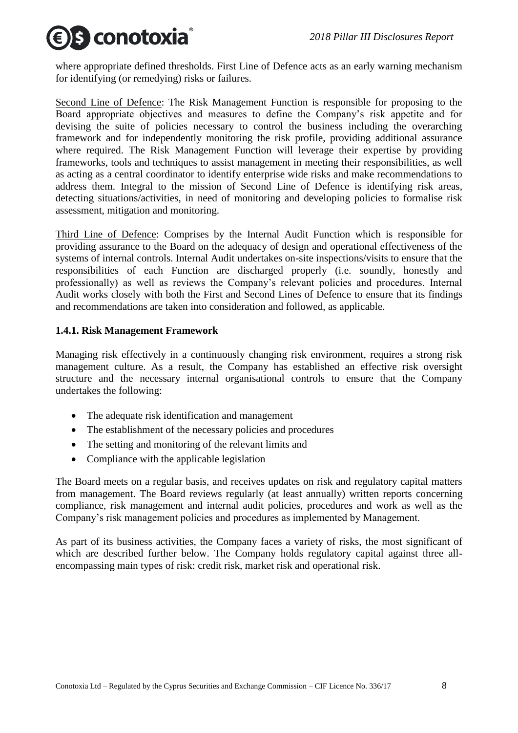# S conotoxia

where appropriate defined thresholds. First Line of Defence acts as an early warning mechanism for identifying (or remedying) risks or failures.

Second Line of Defence: The Risk Management Function is responsible for proposing to the Board appropriate objectives and measures to define the Company's risk appetite and for devising the suite of policies necessary to control the business including the overarching framework and for independently monitoring the risk profile, providing additional assurance where required. The Risk Management Function will leverage their expertise by providing frameworks, tools and techniques to assist management in meeting their responsibilities, as well as acting as a central coordinator to identify enterprise wide risks and make recommendations to address them. Integral to the mission of Second Line of Defence is identifying risk areas, detecting situations/activities, in need of monitoring and developing policies to formalise risk assessment, mitigation and monitoring.

Third Line of Defence: Comprises by the Internal Audit Function which is responsible for providing assurance to the Board on the adequacy of design and operational effectiveness of the systems of internal controls. Internal Audit undertakes on-site inspections/visits to ensure that the responsibilities of each Function are discharged properly (i.e. soundly, honestly and professionally) as well as reviews the Company's relevant policies and procedures. Internal Audit works closely with both the First and Second Lines of Defence to ensure that its findings and recommendations are taken into consideration and followed, as applicable.

# <span id="page-7-0"></span>**1.4.1. Risk Management Framework**

Managing risk effectively in a continuously changing risk environment, requires a strong risk management culture. As a result, the Company has established an effective risk oversight structure and the necessary internal organisational controls to ensure that the Company undertakes the following:

- The adequate risk identification and management
- The establishment of the necessary policies and procedures
- The setting and monitoring of the relevant limits and
- Compliance with the applicable legislation

The Board meets on a regular basis, and receives updates on risk and regulatory capital matters from management. The Board reviews regularly (at least annually) written reports concerning compliance, risk management and internal audit policies, procedures and work as well as the Company's risk management policies and procedures as implemented by Management.

As part of its business activities, the Company faces a variety of risks, the most significant of which are described further below. The Company holds regulatory capital against three allencompassing main types of risk: credit risk, market risk and operational risk.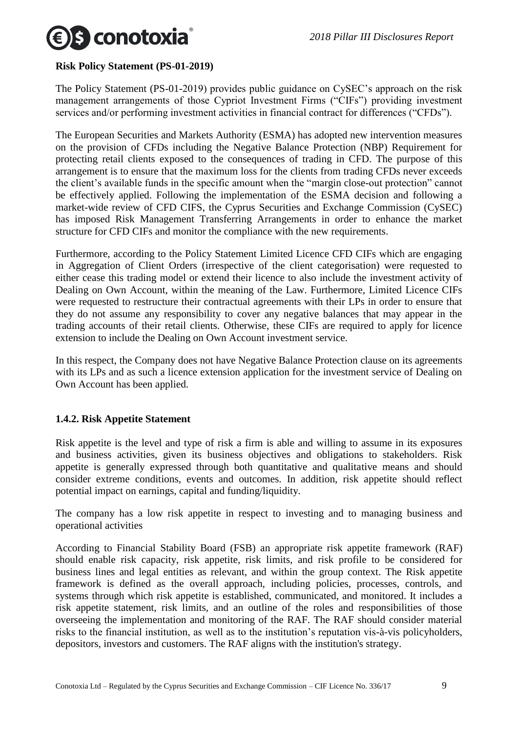

#### **Risk Policy Statement (PS-01-2019)**

The Policy Statement (PS-01-2019) provides public guidance on CySEC's approach on the risk management arrangements of those Cypriot Investment Firms ("CIFs") providing investment services and/or performing investment activities in financial contract for differences ("CFDs").

The European Securities and Markets Authority (ESMA) has adopted new intervention measures on the provision of CFDs including the Negative Balance Protection (NBP) Requirement for protecting retail clients exposed to the consequences of trading in CFD. The purpose of this arrangement is to ensure that the maximum loss for the clients from trading CFDs never exceeds the client's available funds in the specific amount when the "margin close-out protection" cannot be effectively applied. Following the implementation of the ESMA decision and following a market-wide review of CFD CIFS, the Cyprus Securities and Exchange Commission (CySEC) has imposed Risk Management Transferring Arrangements in order to enhance the market structure for CFD CIFs and monitor the compliance with the new requirements.

Furthermore, according to the Policy Statement Limited Licence CFD CIFs which are engaging in Aggregation of Client Orders (irrespective of the client categorisation) were requested to either cease this trading model or extend their licence to also include the investment activity of Dealing on Own Account, within the meaning of the Law. Furthermore, Limited Licence CIFs were requested to restructure their contractual agreements with their LPs in order to ensure that they do not assume any responsibility to cover any negative balances that may appear in the trading accounts of their retail clients. Otherwise, these CIFs are required to apply for licence extension to include the Dealing on Own Account investment service.

In this respect, the Company does not have Negative Balance Protection clause on its agreements with its LPs and as such a licence extension application for the investment service of Dealing on Own Account has been applied.

#### <span id="page-8-0"></span>**1.4.2. Risk Appetite Statement**

Risk appetite is the level and type of risk a firm is able and willing to assume in its exposures and business activities, given its business objectives and obligations to stakeholders. Risk appetite is generally expressed through both quantitative and qualitative means and should consider extreme conditions, events and outcomes. In addition, risk appetite should reflect potential impact on earnings, capital and funding/liquidity.

The company has a low risk appetite in respect to investing and to managing business and operational activities

According to Financial Stability Board (FSB) an appropriate risk appetite framework (RAF) should enable risk capacity, risk appetite, risk limits, and risk profile to be considered for business lines and legal entities as relevant, and within the group context. The Risk appetite framework is defined as the overall approach, including policies, processes, controls, and systems through which risk appetite is established, communicated, and monitored. It includes a risk appetite statement, risk limits, and an outline of the roles and responsibilities of those overseeing the implementation and monitoring of the RAF. The RAF should consider material risks to the financial institution, as well as to the institution's reputation vis-à-vis policyholders, depositors, investors and customers. The RAF aligns with the institution's strategy.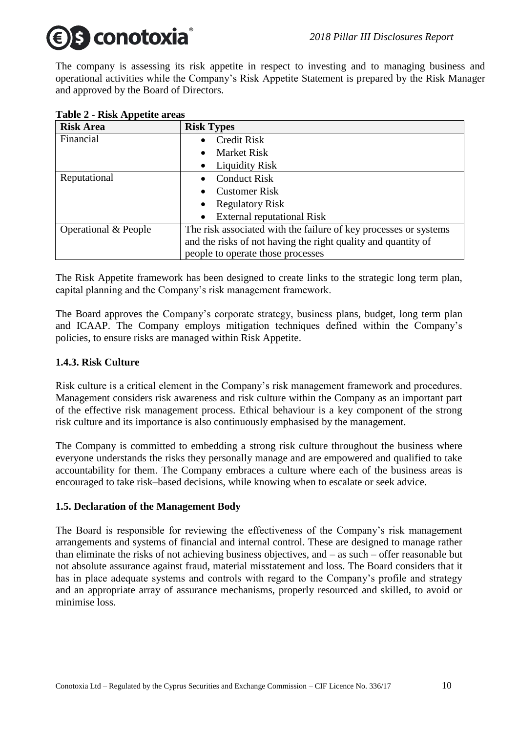# s conotoxia

The company is assessing its risk appetite in respect to investing and to managing business and operational activities while the Company's Risk Appetite Statement is prepared by the Risk Manager and approved by the Board of Directors.

| $\frac{1}{2}$ and $\frac{1}{2}$ and $\frac{1}{2}$ and $\frac{1}{2}$ and $\frac{1}{2}$ |                                                                  |
|---------------------------------------------------------------------------------------|------------------------------------------------------------------|
| <b>Risk Area</b>                                                                      | <b>Risk Types</b>                                                |
| Financial                                                                             | <b>Credit Risk</b>                                               |
|                                                                                       | <b>Market Risk</b>                                               |
|                                                                                       | • Liquidity Risk                                                 |
| Reputational                                                                          | <b>Conduct Risk</b>                                              |
|                                                                                       | <b>Customer Risk</b>                                             |
|                                                                                       | Regulatory Risk<br>$\bullet$                                     |
|                                                                                       | <b>External reputational Risk</b>                                |
| Operational & People                                                                  | The risk associated with the failure of key processes or systems |
|                                                                                       | and the risks of not having the right quality and quantity of    |
|                                                                                       | people to operate those processes                                |

# **Table 2 - Risk Appetite areas**

The Risk Appetite framework has been designed to create links to the strategic long term plan, capital planning and the Company's risk management framework.

The Board approves the Company's corporate strategy, business plans, budget, long term plan and ICAAP. The Company employs mitigation techniques defined within the Company's policies, to ensure risks are managed within Risk Appetite.

# <span id="page-9-0"></span>**1.4.3. Risk Culture**

Risk culture is a critical element in the Company's risk management framework and procedures. Management considers risk awareness and risk culture within the Company as an important part of the effective risk management process. Ethical behaviour is a key component of the strong risk culture and its importance is also continuously emphasised by the management.

The Company is committed to embedding a strong risk culture throughout the business where everyone understands the risks they personally manage and are empowered and qualified to take accountability for them. The Company embraces a culture where each of the business areas is encouraged to take risk–based decisions, while knowing when to escalate or seek advice.

# <span id="page-9-1"></span>**1.5. Declaration of the Management Body**

The Board is responsible for reviewing the effectiveness of the Company's risk management arrangements and systems of financial and internal control. These are designed to manage rather than eliminate the risks of not achieving business objectives, and – as such – offer reasonable but not absolute assurance against fraud, material misstatement and loss. The Board considers that it has in place adequate systems and controls with regard to the Company's profile and strategy and an appropriate array of assurance mechanisms, properly resourced and skilled, to avoid or minimise loss.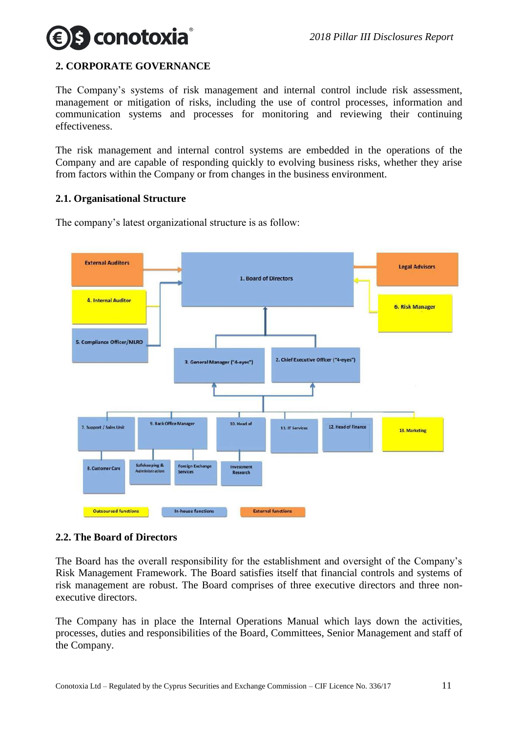

# <span id="page-10-0"></span>**2. CORPORATE GOVERNANCE**

The Company's systems of risk management and internal control include risk assessment, management or mitigation of risks, including the use of control processes, information and communication systems and processes for monitoring and reviewing their continuing effectiveness.

The risk management and internal control systems are embedded in the operations of the Company and are capable of responding quickly to evolving business risks, whether they arise from factors within the Company or from changes in the business environment.

#### <span id="page-10-1"></span>**2.1. Organisational Structure**

The company's latest organizational structure is as follow:



#### <span id="page-10-2"></span>**2.2. The Board of Directors**

The Board has the overall responsibility for the establishment and oversight of the Company's Risk Management Framework. The Board satisfies itself that financial controls and systems of risk management are robust. The Board comprises of three executive directors and three nonexecutive directors.

The Company has in place the Internal Operations Manual which lays down the activities, processes, duties and responsibilities of the Board, Committees, Senior Management and staff of the Company.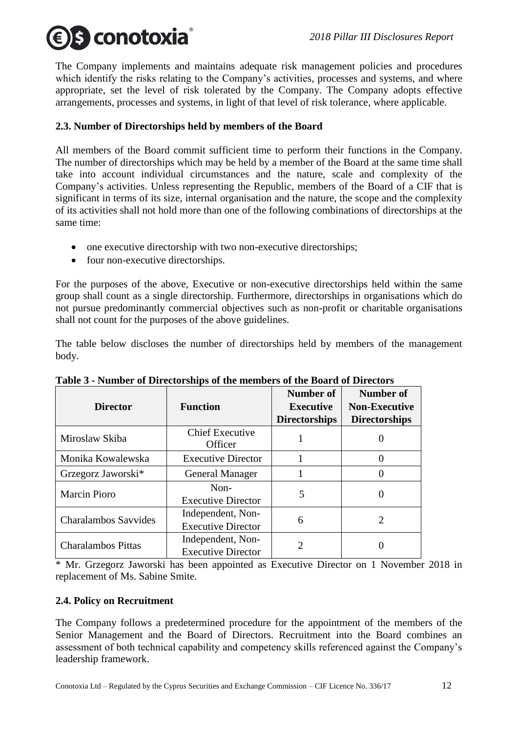

The Company implements and maintains adequate risk management policies and procedures which identify the risks relating to the Company's activities, processes and systems, and where appropriate, set the level of risk tolerated by the Company. The Company adopts effective arrangements, processes and systems, in light of that level of risk tolerance, where applicable.

# <span id="page-11-0"></span>**2.3. Number of Directorships held by members of the Board**

All members of the Board commit sufficient time to perform their functions in the Company. The number of directorships which may be held by a member of the Board at the same time shall take into account individual circumstances and the nature, scale and complexity of the Company's activities. Unless representing the Republic, members of the Board of a CIF that is significant in terms of its size, internal organisation and the nature, the scope and the complexity of its activities shall not hold more than one of the following combinations of directorships at the same time:

- one executive directorship with two non-executive directorships;
- four non-executive directorships.

For the purposes of the above, Executive or non-executive directorships held within the same group shall count as a single directorship. Furthermore, directorships in organisations which do not pursue predominantly commercial objectives such as non-profit or charitable organisations shall not count for the purposes of the above guidelines.

The table below discloses the number of directorships held by members of the management body.

| <b>Director</b>             | <b>Function</b>                                | Number of<br><b>Executive</b><br><b>Directorships</b> | Number of<br><b>Non-Executive</b><br><b>Directorships</b> |
|-----------------------------|------------------------------------------------|-------------------------------------------------------|-----------------------------------------------------------|
| Miroslaw Skiba              | <b>Chief Executive</b><br>Officer              |                                                       |                                                           |
| Monika Kowalewska           | <b>Executive Director</b>                      |                                                       | 0                                                         |
| Grzegorz Jaworski*          | <b>General Manager</b>                         |                                                       |                                                           |
| <b>Marcin Pioro</b>         | Non-<br><b>Executive Director</b>              | 5                                                     | 0                                                         |
| <b>Charalambos Savvides</b> | Independent, Non-<br><b>Executive Director</b> | 6                                                     | $\mathcal{D}_{\mathcal{L}}$                               |
| <b>Charalambos Pittas</b>   | Independent, Non-<br><b>Executive Director</b> | 2                                                     |                                                           |

|  |  |  |  | Table 3 - Number of Directorships of the members of the Board of Directors |  |  |  |
|--|--|--|--|----------------------------------------------------------------------------|--|--|--|
|  |  |  |  |                                                                            |  |  |  |

\* Mr. Grzegorz Jaworski has been appointed as Executive Director on 1 November 2018 in replacement of Ms. Sabine Smite.

# <span id="page-11-1"></span>**2.4. Policy on Recruitment**

The Company follows a predetermined procedure for the appointment of the members of the Senior Management and the Board of Directors. Recruitment into the Board combines an assessment of both technical capability and competency skills referenced against the Company's leadership framework.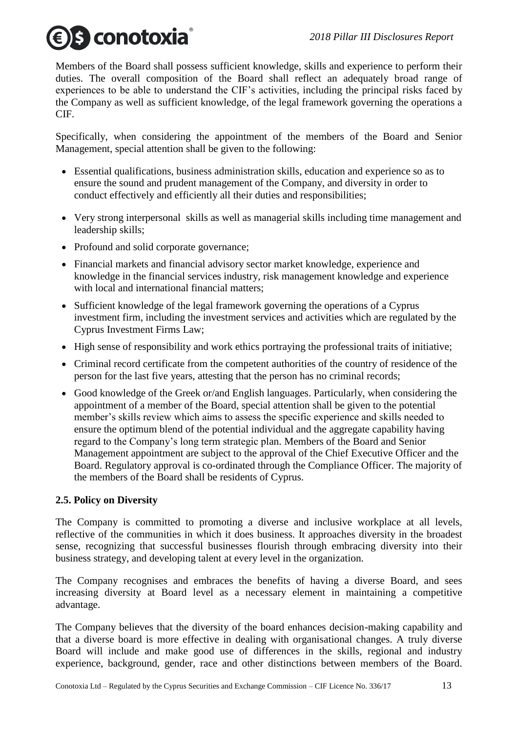# S conotoxia®

Members of the Board shall possess sufficient knowledge, skills and experience to perform their duties. The overall composition of the Board shall reflect an adequately broad range of experiences to be able to understand the CIF's activities, including the principal risks faced by the Company as well as sufficient knowledge, of the legal framework governing the operations a CIF.

Specifically, when considering the appointment of the members of the Board and Senior Management, special attention shall be given to the following:

- Essential qualifications, business administration skills, education and experience so as to ensure the sound and prudent management of the Company, and diversity in order to conduct effectively and efficiently all their duties and responsibilities;
- Very strong interpersonal skills as well as managerial skills including time management and leadership skills;
- Profound and solid corporate governance;
- Financial markets and financial advisory sector market knowledge, experience and knowledge in the financial services industry, risk management knowledge and experience with local and international financial matters:
- Sufficient knowledge of the legal framework governing the operations of a Cyprus investment firm, including the investment services and activities which are regulated by the Cyprus Investment Firms Law;
- High sense of responsibility and work ethics portraying the professional traits of initiative;
- Criminal record certificate from the competent authorities of the country of residence of the person for the last five years, attesting that the person has no criminal records;
- Good knowledge of the Greek or/and English languages. Particularly, when considering the appointment of a member of the Board, special attention shall be given to the potential member's skills review which aims to assess the specific experience and skills needed to ensure the optimum blend of the potential individual and the aggregate capability having regard to the Company's long term strategic plan. Members of the Board and Senior Management appointment are subject to the approval of the Chief Executive Officer and the Board. Regulatory approval is co-ordinated through the Compliance Officer. The majority of the members of the Board shall be residents of Cyprus.

# <span id="page-12-0"></span>**2.5. Policy on Diversity**

The Company is committed to promoting a diverse and inclusive workplace at all levels, reflective of the communities in which it does business. It approaches diversity in the broadest sense, recognizing that successful businesses flourish through embracing diversity into their business strategy, and developing talent at every level in the organization.

The Company recognises and embraces the benefits of having a diverse Board, and sees increasing diversity at Board level as a necessary element in maintaining a competitive advantage.

The Company believes that the diversity of the board enhances decision-making capability and that a diverse board is more effective in dealing with organisational changes. A truly diverse Board will include and make good use of differences in the skills, regional and industry experience, background, gender, race and other distinctions between members of the Board.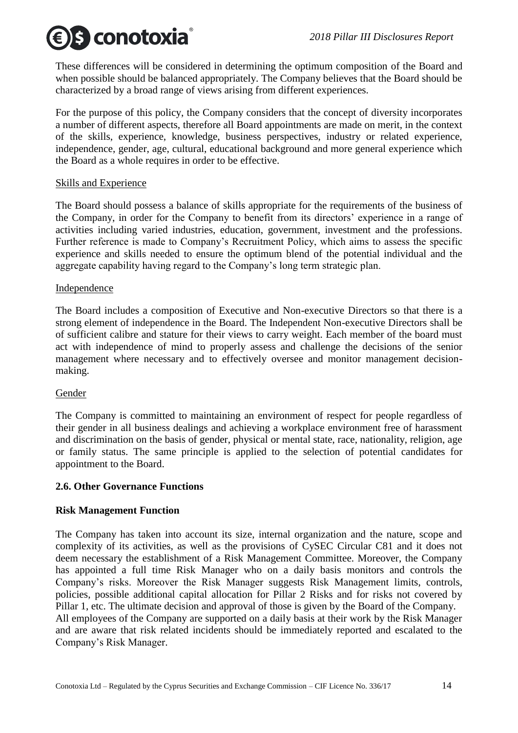S conotoxia

These differences will be considered in determining the optimum composition of the Board and when possible should be balanced appropriately. The Company believes that the Board should be characterized by a broad range of views arising from different experiences.

For the purpose of this policy, the Company considers that the concept of diversity incorporates a number of different aspects, therefore all Board appointments are made on merit, in the context of the skills, experience, knowledge, business perspectives, industry or related experience, independence, gender, age, cultural, educational background and more general experience which the Board as a whole requires in order to be effective.

#### Skills and Experience

The Board should possess a balance of skills appropriate for the requirements of the business of the Company, in order for the Company to benefit from its directors' experience in a range of activities including varied industries, education, government, investment and the professions. Further reference is made to Company's Recruitment Policy, which aims to assess the specific experience and skills needed to ensure the optimum blend of the potential individual and the aggregate capability having regard to the Company's long term strategic plan.

#### **Independence**

The Board includes a composition of Executive and Non-executive Directors so that there is a strong element of independence in the Board. The Independent Non-executive Directors shall be of sufficient calibre and stature for their views to carry weight. Each member of the board must act with independence of mind to properly assess and challenge the decisions of the senior management where necessary and to effectively oversee and monitor management decisionmaking.

# Gender

The Company is committed to maintaining an environment of respect for people regardless of their gender in all business dealings and achieving a workplace environment free of harassment and discrimination on the basis of gender, physical or mental state, race, nationality, religion, age or family status. The same principle is applied to the selection of potential candidates for appointment to the Board.

#### <span id="page-13-0"></span>**2.6. Other Governance Functions**

# **Risk Management Function**

The Company has taken into account its size, internal organization and the nature, scope and complexity of its activities, as well as the provisions of CySEC Circular C81 and it does not deem necessary the establishment of a Risk Management Committee. Moreover, the Company has appointed a full time Risk Manager who on a daily basis monitors and controls the Company's risks. Moreover the Risk Manager suggests Risk Management limits, controls, policies, possible additional capital allocation for Pillar 2 Risks and for risks not covered by Pillar 1, etc. The ultimate decision and approval of those is given by the Board of the Company. All employees of the Company are supported on a daily basis at their work by the Risk Manager and are aware that risk related incidents should be immediately reported and escalated to the Company's Risk Manager.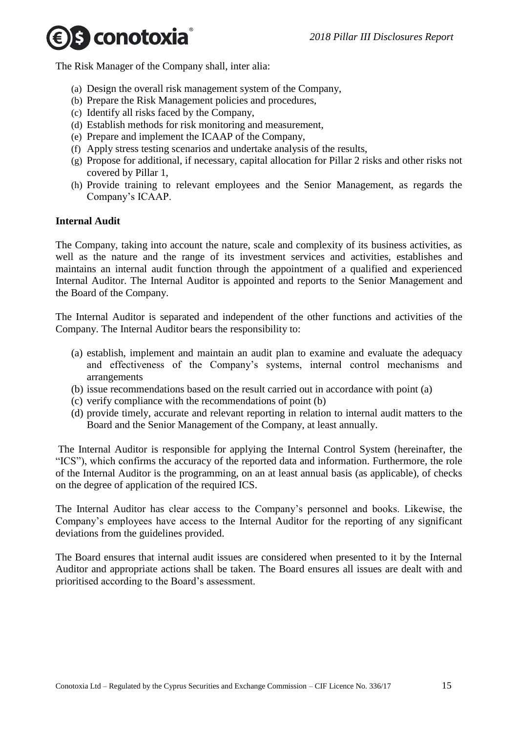S conotoxia

The Risk Manager of the Company shall, inter alia:

- (a) Design the overall risk management system of the Company,
- (b) Prepare the Risk Management policies and procedures,
- (c) Identify all risks faced by the Company,
- (d) Establish methods for risk monitoring and measurement,
- (e) Prepare and implement the ICAAP of the Company,
- (f) Apply stress testing scenarios and undertake analysis of the results,
- (g) Propose for additional, if necessary, capital allocation for Pillar 2 risks and other risks not covered by Pillar 1,
- (h) Provide training to relevant employees and the Senior Management, as regards the Company's ICAAP.

#### **Internal Audit**

The Company, taking into account the nature, scale and complexity of its business activities, as well as the nature and the range of its investment services and activities, establishes and maintains an internal audit function through the appointment of a qualified and experienced Internal Auditor. The Internal Auditor is appointed and reports to the Senior Management and the Board of the Company.

The Internal Auditor is separated and independent of the other functions and activities of the Company. The Internal Auditor bears the responsibility to:

- (a) establish, implement and maintain an audit plan to examine and evaluate the adequacy and effectiveness of the Company's systems, internal control mechanisms and arrangements
- (b) issue recommendations based on the result carried out in accordance with point (a)
- (c) verify compliance with the recommendations of point (b)
- (d) provide timely, accurate and relevant reporting in relation to internal audit matters to the Board and the Senior Management of the Company, at least annually.

The Internal Auditor is responsible for applying the Internal Control System (hereinafter, the "ICS"), which confirms the accuracy of the reported data and information. Furthermore, the role of the Internal Auditor is the programming, on an at least annual basis (as applicable), of checks on the degree of application of the required ICS.

The Internal Auditor has clear access to the Company's personnel and books. Likewise, the Company's employees have access to the Internal Auditor for the reporting of any significant deviations from the guidelines provided.

The Board ensures that internal audit issues are considered when presented to it by the Internal Auditor and appropriate actions shall be taken. The Board ensures all issues are dealt with and prioritised according to the Board's assessment.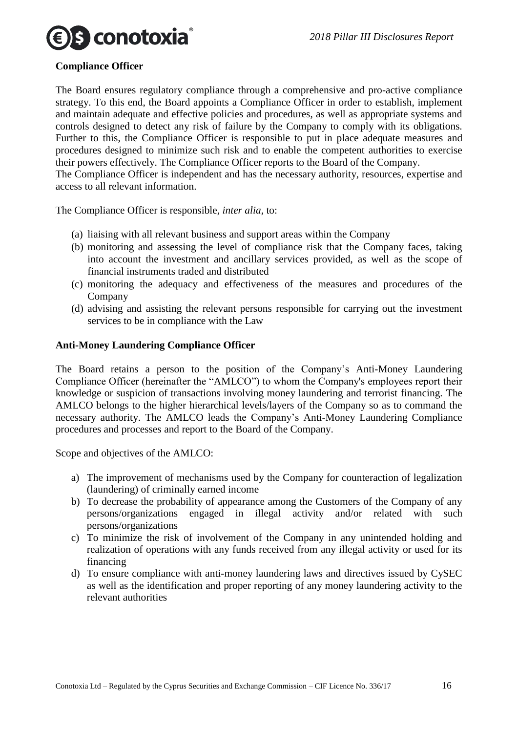

#### **Compliance Officer**

The Board ensures regulatory compliance through a comprehensive and pro-active compliance strategy. To this end, the Board appoints a Compliance Officer in order to establish, implement and maintain adequate and effective policies and procedures, as well as appropriate systems and controls designed to detect any risk of failure by the Company to comply with its obligations. Further to this, the Compliance Officer is responsible to put in place adequate measures and procedures designed to minimize such risk and to enable the competent authorities to exercise their powers effectively. The Compliance Officer reports to the Board of the Company. The Compliance Officer is independent and has the necessary authority, resources, expertise and access to all relevant information.

The Compliance Officer is responsible, *inter alia*, to:

- (a) liaising with all relevant business and support areas within the Company
- (b) monitoring and assessing the level of compliance risk that the Company faces, taking into account the investment and ancillary services provided, as well as the scope of financial instruments traded and distributed
- (c) monitoring the adequacy and effectiveness of the measures and procedures of the Company
- (d) advising and assisting the relevant persons responsible for carrying out the investment services to be in compliance with the Law

#### **Anti-Money Laundering Compliance Officer**

The Board retains a person to the position of the Company's Anti-Money Laundering Compliance Officer (hereinafter the "AMLCO") to whom the Company's employees report their knowledge or suspicion of transactions involving money laundering and terrorist financing. The AMLCO belongs to the higher hierarchical levels/layers of the Company so as to command the necessary authority. The AMLCO leads the Company's Anti-Money Laundering Compliance procedures and processes and report to the Board of the Company.

Scope and objectives of the AMLCO:

- a) The improvement of mechanisms used by the Company for counteraction of legalization (laundering) of criminally earned income
- b) To decrease the probability of appearance among the Customers of the Company of any persons/organizations engaged in illegal activity and/or related with such persons/organizations
- c) To minimize the risk of involvement of the Company in any unintended holding and realization of operations with any funds received from any illegal activity or used for its financing
- d) To ensure compliance with anti-money laundering laws and directives issued by CySEC as well as the identification and proper reporting of any money laundering activity to the relevant authorities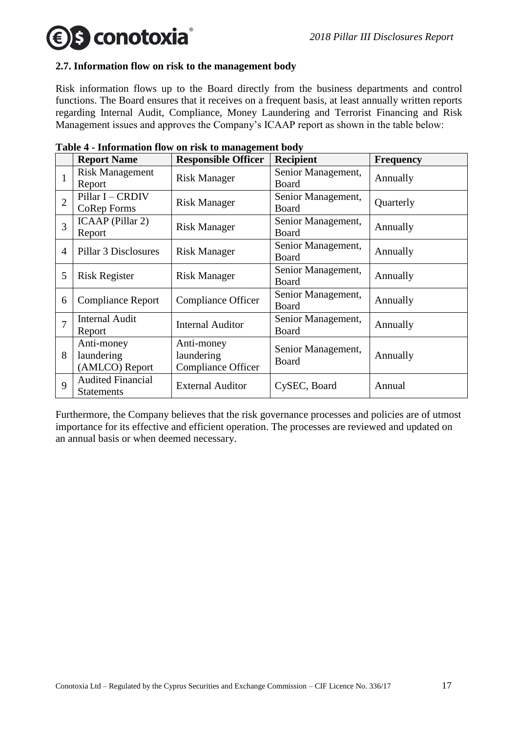# **€ s conotoxia**

#### <span id="page-16-0"></span>**2.7. Information flow on risk to the management body**

Risk information flows up to the Board directly from the business departments and control functions. The Board ensures that it receives on a frequent basis, at least annually written reports regarding Internal Audit, Compliance, Money Laundering and Terrorist Financing and Risk Management issues and approves the Company's ICAAP report as shown in the table below:

|                | <b>Report Name</b>                            | <b>Responsible Officer</b>                            | <b>Recipient</b>                   | <b>Frequency</b> |
|----------------|-----------------------------------------------|-------------------------------------------------------|------------------------------------|------------------|
| 1              | <b>Risk Management</b><br>Report              | <b>Risk Manager</b>                                   | Senior Management,<br><b>Board</b> | Annually         |
| $\overline{2}$ | Pillar I - CRDIV<br>CoRep Forms               | <b>Risk Manager</b>                                   | Senior Management,<br>Board        | Quarterly        |
| 3              | ICAAP (Pillar 2)<br>Report                    | <b>Risk Manager</b>                                   | Senior Management,<br>Board        | Annually         |
| $\overline{4}$ | Pillar 3 Disclosures                          | <b>Risk Manager</b>                                   | Senior Management,<br><b>Board</b> | Annually         |
| 5              | <b>Risk Register</b>                          | <b>Risk Manager</b>                                   | Senior Management,<br>Board        | Annually         |
| 6              | <b>Compliance Report</b>                      | Compliance Officer                                    | Senior Management,<br>Board        | Annually         |
| 7              | <b>Internal Audit</b><br>Report               | <b>Internal Auditor</b>                               | Senior Management,<br>Board        | Annually         |
| 8              | Anti-money<br>laundering<br>(AMLCO) Report    | Anti-money<br>laundering<br><b>Compliance Officer</b> | Senior Management,<br>Board        | Annually         |
| 9              | <b>Audited Financial</b><br><b>Statements</b> | <b>External Auditor</b>                               | CySEC, Board                       | Annual           |

|  |  |  |  |  | Table 4 - Information flow on risk to management body |  |
|--|--|--|--|--|-------------------------------------------------------|--|
|  |  |  |  |  |                                                       |  |

Furthermore, the Company believes that the risk governance processes and policies are of utmost importance for its effective and efficient operation. The processes are reviewed and updated on an annual basis or when deemed necessary.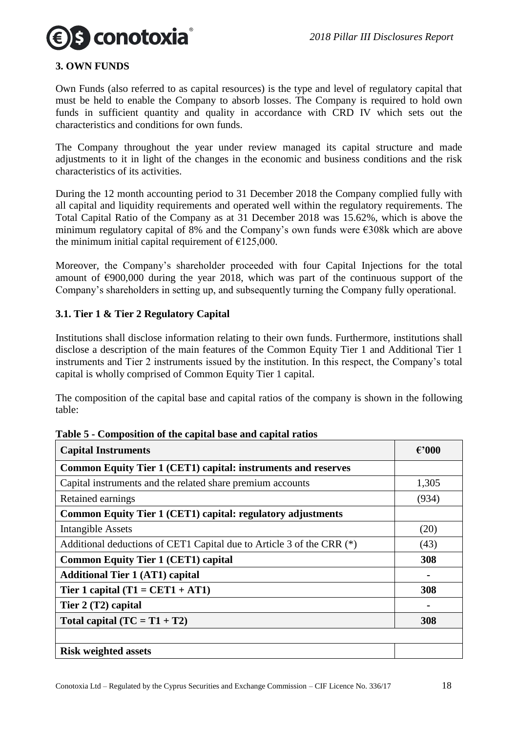

#### <span id="page-17-0"></span>**3. OWN FUNDS**

Own Funds (also referred to as capital resources) is the type and level of regulatory capital that must be held to enable the Company to absorb losses. The Company is required to hold own funds in sufficient quantity and quality in accordance with CRD IV which sets out the characteristics and conditions for own funds.

The Company throughout the year under review managed its capital structure and made adjustments to it in light of the changes in the economic and business conditions and the risk characteristics of its activities.

During the 12 month accounting period to 31 December 2018 the Company complied fully with all capital and liquidity requirements and operated well within the regulatory requirements. The Total Capital Ratio of the Company as at 31 December 2018 was 15.62%, which is above the minimum regulatory capital of 8% and the Company's own funds were €308k which are above the minimum initial capital requirement of  $\text{\textsterling}125,000$ .

Moreover, the Company's shareholder proceeded with four Capital Injections for the total amount of  $\epsilon$ 900,000 during the year 2018, which was part of the continuous support of the Company's shareholders in setting up, and subsequently turning the Company fully operational.

#### <span id="page-17-1"></span>**3.1. Tier 1 & Tier 2 Regulatory Capital**

Institutions shall disclose information relating to their own funds. Furthermore, institutions shall disclose a description of the main features of the Common Equity Tier 1 and Additional Tier 1 instruments and Tier 2 instruments issued by the institution. In this respect, the Company's total capital is wholly comprised of Common Equity Tier 1 capital.

The composition of the capital base and capital ratios of the company is shown in the following table:

| <b>Capital Instruments</b>                                            | $\epsilon$ '000 |
|-----------------------------------------------------------------------|-----------------|
| Common Equity Tier 1 (CET1) capital: instruments and reserves         |                 |
| Capital instruments and the related share premium accounts            | 1,305           |
| Retained earnings                                                     | (934)           |
| Common Equity Tier 1 (CET1) capital: regulatory adjustments           |                 |
| <b>Intangible Assets</b>                                              | (20)            |
| Additional deductions of CET1 Capital due to Article 3 of the CRR (*) | (43)            |
| <b>Common Equity Tier 1 (CET1) capital</b>                            | 308             |
| <b>Additional Tier 1 (AT1) capital</b>                                |                 |
| Tier 1 capital $(T1 = CET1 + AT1)$                                    | 308             |
| Tier 2 (T2) capital                                                   |                 |
| Total capital $(TC = T1 + T2)$                                        | 308             |
|                                                                       |                 |
| <b>Risk weighted assets</b>                                           |                 |

**Table 5 - Composition of the capital base and capital ratios**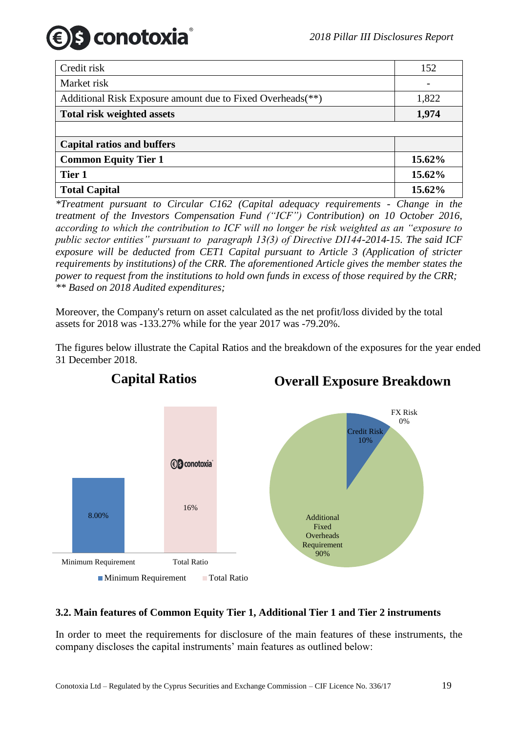| Credit risk                                                | 152    |
|------------------------------------------------------------|--------|
| Market risk                                                |        |
| Additional Risk Exposure amount due to Fixed Overheads(**) | 1,822  |
| <b>Total risk weighted assets</b>                          | 1,974  |
|                                                            |        |
| <b>Capital ratios and buffers</b>                          |        |
| <b>Common Equity Tier 1</b>                                | 15.62% |
| Tier 1                                                     | 15.62% |
| <b>Total Capital</b>                                       | 15.62% |

*\*Treatment pursuant to Circular C162 (Capital adequacy requirements - Change in the treatment of the Investors Compensation Fund ("ICF") Contribution) on 10 October 2016, according to which the contribution to ICF will no longer be risk weighted as an "exposure to public sector entities" pursuant to paragraph 13(3) of Directive DI144-2014-15. The said ICF exposure will be deducted from CET1 Capital pursuant to Article 3 (Application of stricter requirements by institutions) of the CRR. The aforementioned Article gives the member states the power to request from the institutions to hold own funds in excess of those required by the CRR; \*\* Based on 2018 Audited expenditures;*

Moreover, the Company's return on asset calculated as the net profit/loss divided by the total assets for 2018 was -133.27% while for the year 2017 was -79.20%.

The figures below illustrate the Capital Ratios and the breakdown of the exposures for the year ended 31 December 2018.



# **Overall Exposure Breakdown**

# <span id="page-18-0"></span>**3.2. Main features of Common Equity Tier 1, Additional Tier 1 and Tier 2 instruments**

In order to meet the requirements for disclosure of the main features of these instruments, the company discloses the capital instruments' main features as outlined below: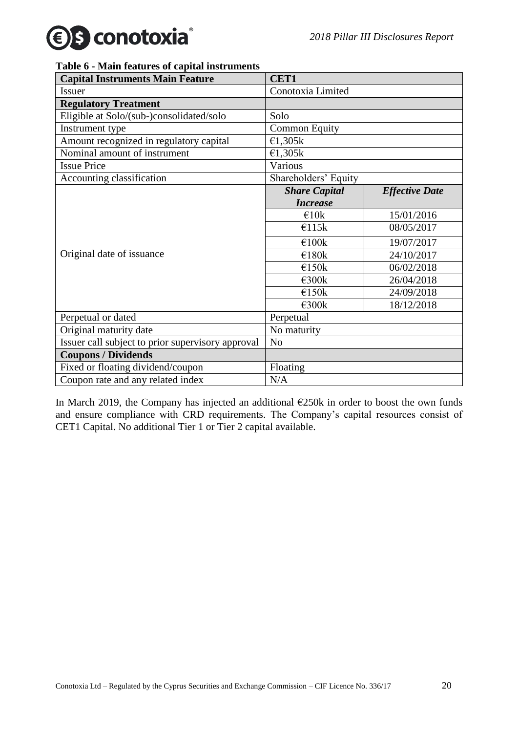#### **Table 6 - Main features of capital instruments**

| <b>Capital Instruments Main Feature</b>           | <b>CET1</b>          |                       |  |  |  |  |  |
|---------------------------------------------------|----------------------|-----------------------|--|--|--|--|--|
| <b>Issuer</b>                                     | Conotoxia Limited    |                       |  |  |  |  |  |
| <b>Regulatory Treatment</b>                       |                      |                       |  |  |  |  |  |
| Eligible at Solo/(sub-)consolidated/solo          | Solo                 |                       |  |  |  |  |  |
| Instrument type                                   | <b>Common Equity</b> |                       |  |  |  |  |  |
| Amount recognized in regulatory capital           | €1,305 $k$           |                       |  |  |  |  |  |
| Nominal amount of instrument                      | €1,305k              |                       |  |  |  |  |  |
| <b>Issue Price</b>                                | Various              |                       |  |  |  |  |  |
| Accounting classification                         | Shareholders' Equity |                       |  |  |  |  |  |
|                                                   | <b>Share Capital</b> | <b>Effective Date</b> |  |  |  |  |  |
|                                                   | <b>Increase</b>      |                       |  |  |  |  |  |
|                                                   | $\epsilon$ 10k       | 15/01/2016            |  |  |  |  |  |
|                                                   | €115k                | 08/05/2017            |  |  |  |  |  |
|                                                   | €100k                | 19/07/2017            |  |  |  |  |  |
| Original date of issuance                         | €180k                | 24/10/2017            |  |  |  |  |  |
|                                                   | €150k                | 06/02/2018            |  |  |  |  |  |
|                                                   | €300k                | 26/04/2018            |  |  |  |  |  |
|                                                   | €150k                | 24/09/2018            |  |  |  |  |  |
|                                                   | €300k                | 18/12/2018            |  |  |  |  |  |
| Perpetual or dated                                | Perpetual            |                       |  |  |  |  |  |
| Original maturity date                            | No maturity          |                       |  |  |  |  |  |
| Issuer call subject to prior supervisory approval | N <sub>o</sub>       |                       |  |  |  |  |  |
| <b>Coupons / Dividends</b>                        |                      |                       |  |  |  |  |  |
| Fixed or floating dividend/coupon                 | Floating             |                       |  |  |  |  |  |
| Coupon rate and any related index                 | N/A                  |                       |  |  |  |  |  |

In March 2019, the Company has injected an additional  $E250k$  in order to boost the own funds and ensure compliance with CRD requirements. The Company's capital resources consist of CET1 Capital. No additional Tier 1 or Tier 2 capital available.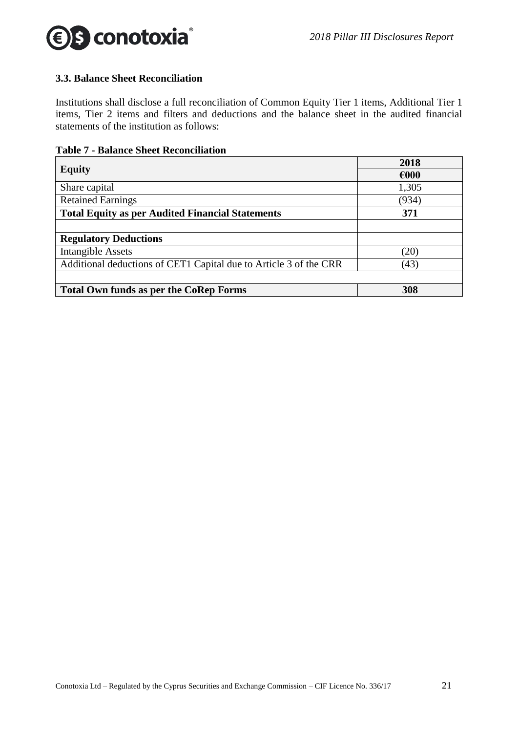

#### <span id="page-20-0"></span>**3.3. Balance Sheet Reconciliation**

Institutions shall disclose a full reconciliation of Common Equity Tier 1 items, Additional Tier 1 items, Tier 2 items and filters and deductions and the balance sheet in the audited financial statements of the institution as follows:

| <b>Table 7 - Balance Sheet Reconciliation</b> |
|-----------------------------------------------|
|-----------------------------------------------|

|                                                                   | 2018  |
|-------------------------------------------------------------------|-------|
| <b>Equity</b>                                                     | €000  |
| Share capital                                                     | 1,305 |
| <b>Retained Earnings</b>                                          | (934) |
| <b>Total Equity as per Audited Financial Statements</b>           | 371   |
|                                                                   |       |
| <b>Regulatory Deductions</b>                                      |       |
| <b>Intangible Assets</b>                                          | (20)  |
| Additional deductions of CET1 Capital due to Article 3 of the CRR | (43)  |
|                                                                   |       |
| <b>Total Own funds as per the CoRep Forms</b>                     | 308   |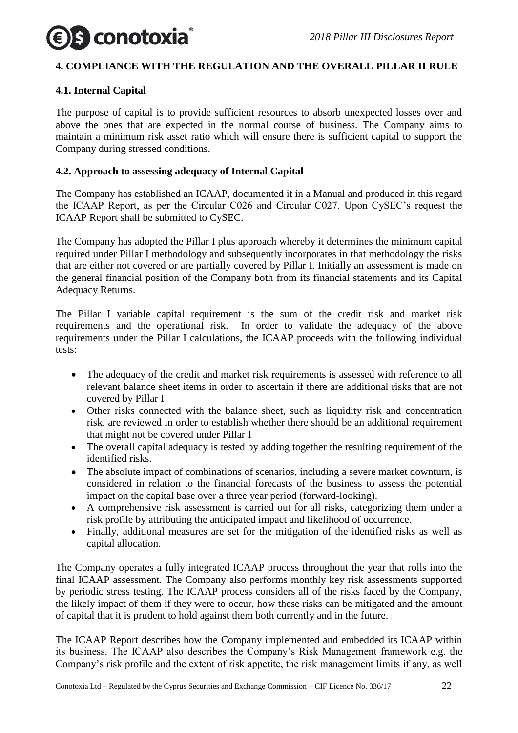# S conotoxia

# <span id="page-21-0"></span>**4. COMPLIANCE WITH THE REGULATION AND THE OVERALL PILLAR II RULE**

# <span id="page-21-1"></span>**4.1. Internal Capital**

The purpose of capital is to provide sufficient resources to absorb unexpected losses over and above the ones that are expected in the normal course of business. The Company aims to maintain a minimum risk asset ratio which will ensure there is sufficient capital to support the Company during stressed conditions.

#### <span id="page-21-2"></span>**4.2. Approach to assessing adequacy of Internal Capital**

The Company has established an ICAAP, documented it in a Manual and produced in this regard the ICAAP Report, as per the Circular C026 and Circular C027. Upon CySEC's request the ICAAP Report shall be submitted to CySEC.

The Company has adopted the Pillar I plus approach whereby it determines the minimum capital required under Pillar I methodology and subsequently incorporates in that methodology the risks that are either not covered or are partially covered by Pillar I. Initially an assessment is made on the general financial position of the Company both from its financial statements and its Capital Adequacy Returns.

The Pillar I variable capital requirement is the sum of the credit risk and market risk requirements and the operational risk. In order to validate the adequacy of the above requirements under the Pillar I calculations, the ICAAP proceeds with the following individual tests:

- The adequacy of the credit and market risk requirements is assessed with reference to all relevant balance sheet items in order to ascertain if there are additional risks that are not covered by Pillar I
- Other risks connected with the balance sheet, such as liquidity risk and concentration risk, are reviewed in order to establish whether there should be an additional requirement that might not be covered under Pillar I
- The overall capital adequacy is tested by adding together the resulting requirement of the identified risks.
- The absolute impact of combinations of scenarios, including a severe market downturn, is considered in relation to the financial forecasts of the business to assess the potential impact on the capital base over a three year period (forward-looking).
- A comprehensive risk assessment is carried out for all risks, categorizing them under a risk profile by attributing the anticipated impact and likelihood of occurrence.
- Finally, additional measures are set for the mitigation of the identified risks as well as capital allocation.

The Company operates a fully integrated ICAAP process throughout the year that rolls into the final ICAAP assessment. The Company also performs monthly key risk assessments supported by periodic stress testing. The ICAAP process considers all of the risks faced by the Company, the likely impact of them if they were to occur, how these risks can be mitigated and the amount of capital that it is prudent to hold against them both currently and in the future.

The ICAAP Report describes how the Company implemented and embedded its ICAAP within its business. The ICAAP also describes the Company's Risk Management framework e.g. the Company's risk profile and the extent of risk appetite, the risk management limits if any, as well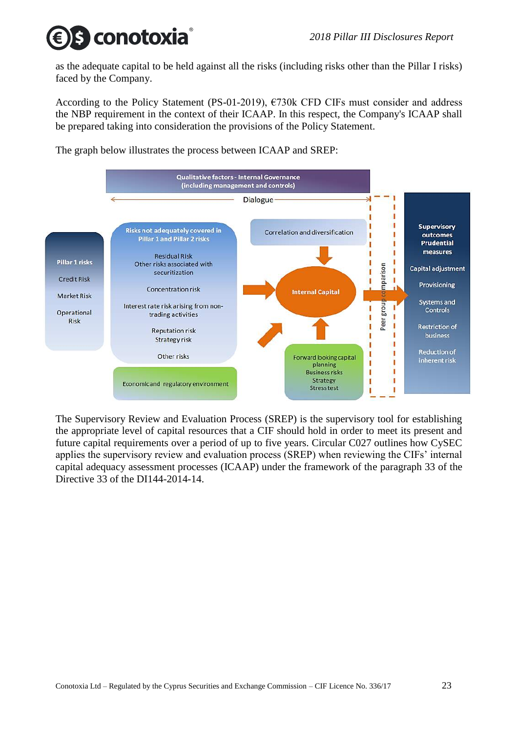# s conotoxia

as the adequate capital to be held against all the risks (including risks other than the Pillar I risks) faced by the Company.

According to the Policy Statement (PS-01-2019), €730k CFD CIFs must consider and address the NBP requirement in the context of their ICAAP. In this respect, the Company's ICAAP shall be prepared taking into consideration the provisions of the Policy Statement.

The graph below illustrates the process between ICAAP and SREP:



The Supervisory Review and Evaluation Process (SREP) is the supervisory tool for establishing the appropriate level of capital resources that a CIF should hold in order to meet its present and future capital requirements over a period of up to five years. Circular C027 outlines how CySEC applies the supervisory review and evaluation process (SREP) when reviewing the CIFs' internal capital adequacy assessment processes (ICAAP) under the framework of the paragraph 33 of the Directive 33 of the DI144-2014-14.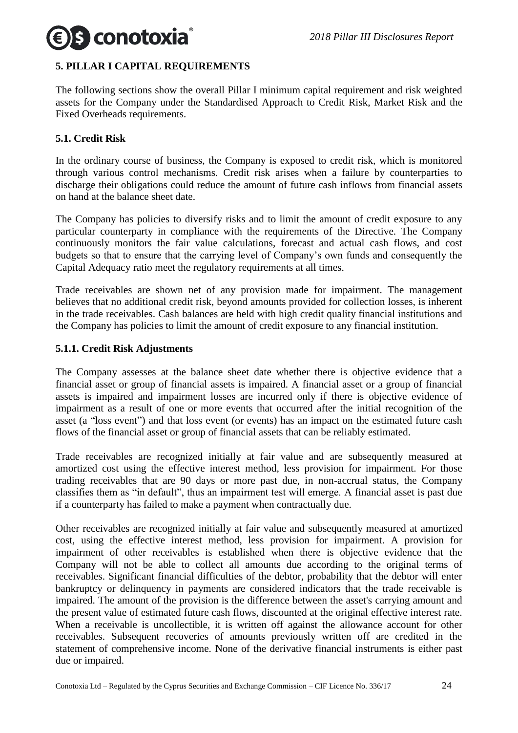

# <span id="page-23-0"></span>**5. PILLAR I CAPITAL REQUIREMENTS**

The following sections show the overall Pillar I minimum capital requirement and risk weighted assets for the Company under the Standardised Approach to Credit Risk, Market Risk and the Fixed Overheads requirements.

#### <span id="page-23-1"></span>**5.1. Credit Risk**

In the ordinary course of business, the Company is exposed to credit risk, which is monitored through various control mechanisms. Credit risk arises when a failure by counterparties to discharge their obligations could reduce the amount of future cash inflows from financial assets on hand at the balance sheet date.

The Company has policies to diversify risks and to limit the amount of credit exposure to any particular counterparty in compliance with the requirements of the Directive. The Company continuously monitors the fair value calculations, forecast and actual cash flows, and cost budgets so that to ensure that the carrying level of Company's own funds and consequently the Capital Adequacy ratio meet the regulatory requirements at all times.

Trade receivables are shown net of any provision made for impairment. The management believes that no additional credit risk, beyond amounts provided for collection losses, is inherent in the trade receivables. Cash balances are held with high credit quality financial institutions and the Company has policies to limit the amount of credit exposure to any financial institution.

#### <span id="page-23-2"></span>**5.1.1. Credit Risk Adjustments**

The Company assesses at the balance sheet date whether there is objective evidence that a financial asset or group of financial assets is impaired. A financial asset or a group of financial assets is impaired and impairment losses are incurred only if there is objective evidence of impairment as a result of one or more events that occurred after the initial recognition of the asset (a "loss event") and that loss event (or events) has an impact on the estimated future cash flows of the financial asset or group of financial assets that can be reliably estimated.

Trade receivables are recognized initially at fair value and are subsequently measured at amortized cost using the effective interest method, less provision for impairment. For those trading receivables that are 90 days or more past due, in non-accrual status, the Company classifies them as "in default", thus an impairment test will emerge. A financial asset is past due if a counterparty has failed to make a payment when contractually due.

Other receivables are recognized initially at fair value and subsequently measured at amortized cost, using the effective interest method, less provision for impairment. A provision for impairment of other receivables is established when there is objective evidence that the Company will not be able to collect all amounts due according to the original terms of receivables. Significant financial difficulties of the debtor, probability that the debtor will enter bankruptcy or delinquency in payments are considered indicators that the trade receivable is impaired. The amount of the provision is the difference between the asset's carrying amount and the present value of estimated future cash flows, discounted at the original effective interest rate. When a receivable is uncollectible, it is written off against the allowance account for other receivables. Subsequent recoveries of amounts previously written off are credited in the statement of comprehensive income. None of the derivative financial instruments is either past due or impaired.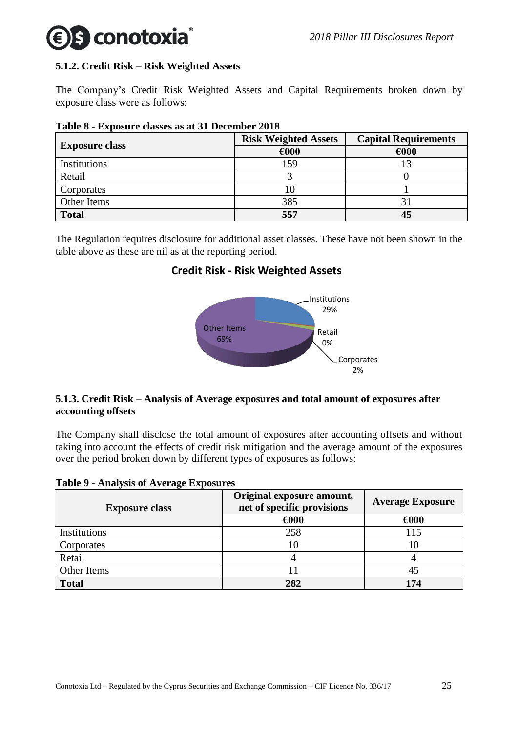# s conotoxia

# <span id="page-24-0"></span>**5.1.2. Credit Risk – Risk Weighted Assets**

The Company's Credit Risk Weighted Assets and Capital Requirements broken down by exposure class were as follows:

|                       | <b>Risk Weighted Assets</b> | <b>Capital Requirements</b> |
|-----------------------|-----------------------------|-----------------------------|
| <b>Exposure class</b> | €000                        | €000                        |
| Institutions          | 159                         |                             |
| Retail                |                             |                             |
| Corporates            | 10                          |                             |
| Other Items           | 385                         |                             |
| <b>Total</b>          | 557                         | 45                          |

**Table 8 - Exposure classes as at 31 December 2018**

The Regulation requires disclosure for additional asset classes. These have not been shown in the table above as these are nil as at the reporting period.

# **Credit Risk - Risk Weighted Assets**



# <span id="page-24-1"></span>**5.1.3. Credit Risk – Analysis of Average exposures and total amount of exposures after accounting offsets**

The Company shall disclose the total amount of exposures after accounting offsets and without taking into account the effects of credit risk mitigation and the average amount of the exposures over the period broken down by different types of exposures as follows:

#### **Table 9 - Analysis of Average Exposures**

| <b>Exposure class</b> | Original exposure amount,<br>net of specific provisions | <b>Average Exposure</b> |  |
|-----------------------|---------------------------------------------------------|-------------------------|--|
|                       | €000                                                    | €000                    |  |
| Institutions          | 258                                                     | 115                     |  |
| Corporates            |                                                         | 10                      |  |
| Retail                |                                                         |                         |  |
| Other Items           |                                                         |                         |  |
| <b>Total</b>          | 282                                                     | 174                     |  |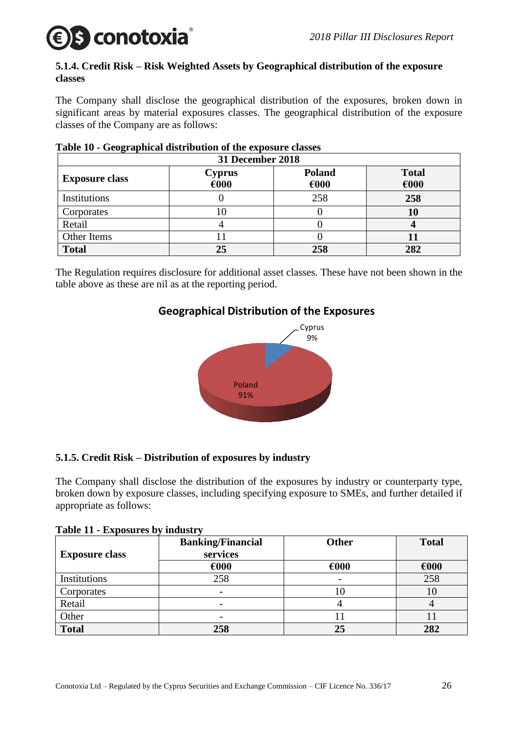# s conotoxia

# <span id="page-25-0"></span>**5.1.4. Credit Risk – Risk Weighted Assets by Geographical distribution of the exposure classes**

The Company shall disclose the geographical distribution of the exposures, broken down in significant areas by material exposures classes. The geographical distribution of the exposure classes of the Company are as follows:

| 31 December 2018      |                                 |                          |                      |  |  |
|-----------------------|---------------------------------|--------------------------|----------------------|--|--|
| <b>Exposure class</b> | <b>Cyprus</b><br>$\epsilon$ 000 | Poland<br>$\epsilon$ 000 | <b>Total</b><br>€000 |  |  |
| Institutions          |                                 | 258                      | 258                  |  |  |
| Corporates            | 10                              |                          | 10                   |  |  |
| Retail                |                                 |                          |                      |  |  |
| Other Items           |                                 |                          | $\bf{11}$            |  |  |
| <b>Total</b>          | 25                              | 258                      | 282                  |  |  |

# **Table 10 - Geographical distribution of the exposure classes**

The Regulation requires disclosure for additional asset classes. These have not been shown in the table above as these are nil as at the reporting period.

# **Geographical Distribution of the Exposures**



# <span id="page-25-1"></span>**5.1.5. Credit Risk – Distribution of exposures by industry**

The Company shall disclose the distribution of the exposures by industry or counterparty type, broken down by exposure classes, including specifying exposure to SMEs, and further detailed if appropriate as follows:

|  |  | Table 11 - Exposures by industry |  |
|--|--|----------------------------------|--|
|  |  |                                  |  |

| <b>Exposure class</b> | <b>Banking/Financial</b><br>services | <b>Other</b>   | <b>Total</b>   |
|-----------------------|--------------------------------------|----------------|----------------|
|                       | €000                                 | $\epsilon$ 000 | $\epsilon$ 000 |
| Institutions          | 258                                  |                | 258            |
| Corporates            |                                      |                | 10             |
| Retail                |                                      |                |                |
| Other                 |                                      |                |                |
| <b>Total</b>          | 258                                  | 25             | 282            |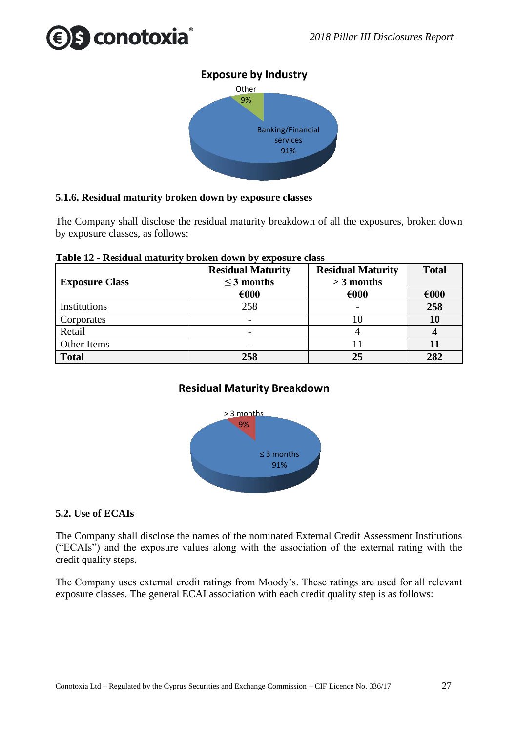



#### <span id="page-26-0"></span>**5.1.6. Residual maturity broken down by exposure classes**

The Company shall disclose the residual maturity breakdown of all the exposures, broken down by exposure classes, as follows:

| <b>Exposure Class</b> | <b>Residual Maturity</b><br>$\leq$ 3 months | <b>Residual Maturity</b><br>$>$ 3 months | <b>Total</b> |
|-----------------------|---------------------------------------------|------------------------------------------|--------------|
|                       | €000                                        | €000                                     | €000         |
| Institutions          | 258                                         |                                          | 258          |
| Corporates            |                                             |                                          | 10           |
| Retail                |                                             |                                          |              |
| Other Items           |                                             |                                          |              |
| <b>Total</b>          | 258                                         | 25                                       | 282          |

#### **Table 12 - Residual maturity broken down by exposure class**

# **Residual Maturity Breakdown**



#### <span id="page-26-1"></span>**5.2. Use of ECAIs**

The Company shall disclose the names of the nominated External Credit Assessment Institutions ("ECAIs") and the exposure values along with the association of the external rating with the credit quality steps.

The Company uses external credit ratings from Moody's. These ratings are used for all relevant exposure classes. The general ECAI association with each credit quality step is as follows: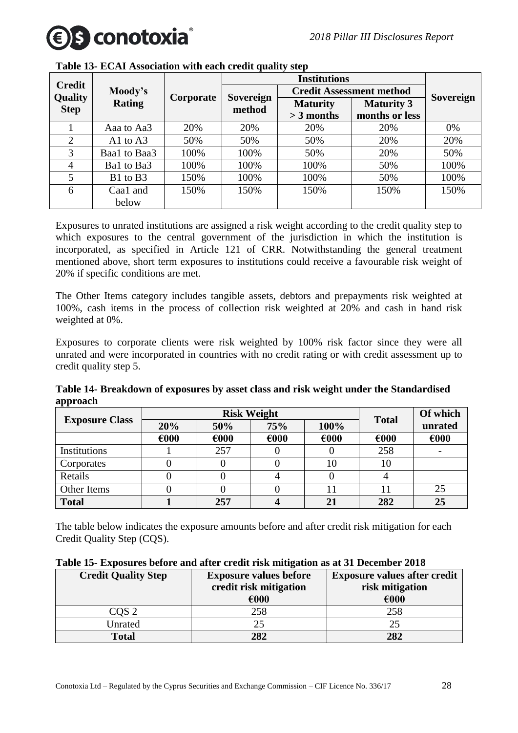

| <b>Credit</b>          |              |           |                     |                 |                                 |                  |
|------------------------|--------------|-----------|---------------------|-----------------|---------------------------------|------------------|
|                        | Moody's      | Corporate |                     |                 | <b>Credit Assessment method</b> | <b>Sovereign</b> |
| Quality<br><b>Step</b> | Rating       |           | Sovereign<br>method | <b>Maturity</b> | <b>Maturity 3</b>               |                  |
|                        |              |           |                     | $>$ 3 months    | months or less                  |                  |
|                        | Aaa to Aa3   | 20%       | 20%                 | 20%             | 20%                             | 0%               |
| 2                      | A1 to $A3$   | 50%       | 50%                 | 50%             | 20%                             | 20%              |
| 3                      | Baa1 to Baa3 | 100%      | 100%                | 50%             | 20%                             | 50%              |
| 4                      | Bal to Ba3   | 100%      | 100%                | 100%            | 50%                             | 100%             |
| 5                      | B1 to B3     | 150%      | 100%                | 100%            | 50%                             | 100%             |
| 6                      | Caa1 and     | 150%      | 150%                | 150%            | 150%                            | 150%             |
|                        | below        |           |                     |                 |                                 |                  |

**Table 13- ECAI Association with each credit quality step**

Exposures to unrated institutions are assigned a risk weight according to the credit quality step to which exposures to the central government of the jurisdiction in which the institution is incorporated, as specified in Article 121 of CRR. Notwithstanding the general treatment mentioned above, short term exposures to institutions could receive a favourable risk weight of 20% if specific conditions are met.

The Other Items category includes tangible assets, debtors and prepayments risk weighted at 100%, cash items in the process of collection risk weighted at 20% and cash in hand risk weighted at 0%.

Exposures to corporate clients were risk weighted by 100% risk factor since they were all unrated and were incorporated in countries with no credit rating or with credit assessment up to credit quality step 5.

**Table 14- Breakdown of exposures by asset class and risk weight under the Standardised approach**

|                       |                | <b>Risk Weight</b> | <b>Total</b>   | Of which       |      |                |
|-----------------------|----------------|--------------------|----------------|----------------|------|----------------|
| <b>Exposure Class</b> | 20%            | 50%                | 75%            | 100%           |      | unrated        |
|                       | $\epsilon$ 000 | $\epsilon$ 000     | $\epsilon$ 000 | $\epsilon$ 000 | €000 | $\epsilon$ 000 |
| Institutions          |                | 257                |                |                | 258  |                |
| Corporates            |                |                    |                | 10             | 10   |                |
| Retails               |                |                    |                |                |      |                |
| Other Items           |                |                    |                |                | Ħ    | 25             |
| <b>Total</b>          |                | 257                |                | 21             | 282  | 25             |

The table below indicates the exposure amounts before and after credit risk mitigation for each Credit Quality Step (CQS).

| Table 15- Exposures before and after credit risk mitigation as at 31 December 2018 |  |
|------------------------------------------------------------------------------------|--|
|------------------------------------------------------------------------------------|--|

| <b>Credit Quality Step</b> | <b>Exposure values before</b> | <b>Exposure values after credit</b> |
|----------------------------|-------------------------------|-------------------------------------|
|                            | credit risk mitigation        | risk mitigation                     |
|                            | €000                          | €000                                |
| COS <sub>2</sub>           | 258                           | 258                                 |
| Unrated                    |                               | 25                                  |
| <b>Total</b>               | 282                           | 282                                 |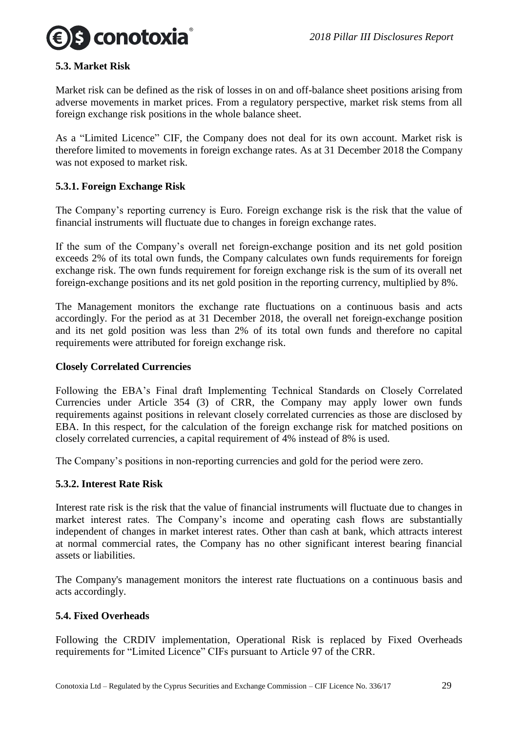



#### <span id="page-28-0"></span>**5.3. Market Risk**

Market risk can be defined as the risk of losses in on and off-balance sheet positions arising from adverse movements in market prices. From a regulatory perspective, market risk stems from all foreign exchange risk positions in the whole balance sheet.

As a "Limited Licence" CIF, the Company does not deal for its own account. Market risk is therefore limited to movements in foreign exchange rates. As at 31 December 2018 the Company was not exposed to market risk.

#### <span id="page-28-1"></span>**5.3.1. Foreign Exchange Risk**

The Company's reporting currency is Euro. Foreign exchange risk is the risk that the value of financial instruments will fluctuate due to changes in foreign exchange rates.

If the sum of the Company's overall net foreign-exchange position and its net gold position exceeds 2% of its total own funds, the Company calculates own funds requirements for foreign exchange risk. The own funds requirement for foreign exchange risk is the sum of its overall net foreign-exchange positions and its net gold position in the reporting currency, multiplied by 8%.

The Management monitors the exchange rate fluctuations on a continuous basis and acts accordingly. For the period as at 31 December 2018, the overall net foreign-exchange position and its net gold position was less than 2% of its total own funds and therefore no capital requirements were attributed for foreign exchange risk.

#### **Closely Correlated Currencies**

Following the EBA's Final draft Implementing Technical Standards on Closely Correlated Currencies under Article 354 (3) of CRR, the Company may apply lower own funds requirements against positions in relevant closely correlated currencies as those are disclosed by EBA. In this respect, for the calculation of the foreign exchange risk for matched positions on closely correlated currencies, a capital requirement of 4% instead of 8% is used.

The Company's positions in non-reporting currencies and gold for the period were zero.

#### <span id="page-28-2"></span>**5.3.2. Interest Rate Risk**

Interest rate risk is the risk that the value of financial instruments will fluctuate due to changes in market interest rates. The Company's income and operating cash flows are substantially independent of changes in market interest rates. Other than cash at bank, which attracts interest at normal commercial rates, the Company has no other significant interest bearing financial assets or liabilities.

The Company's management monitors the interest rate fluctuations on a continuous basis and acts accordingly.

#### <span id="page-28-3"></span>**5.4. Fixed Overheads**

Following the CRDIV implementation, Operational Risk is replaced by Fixed Overheads requirements for "Limited Licence" CIFs pursuant to Article 97 of the CRR.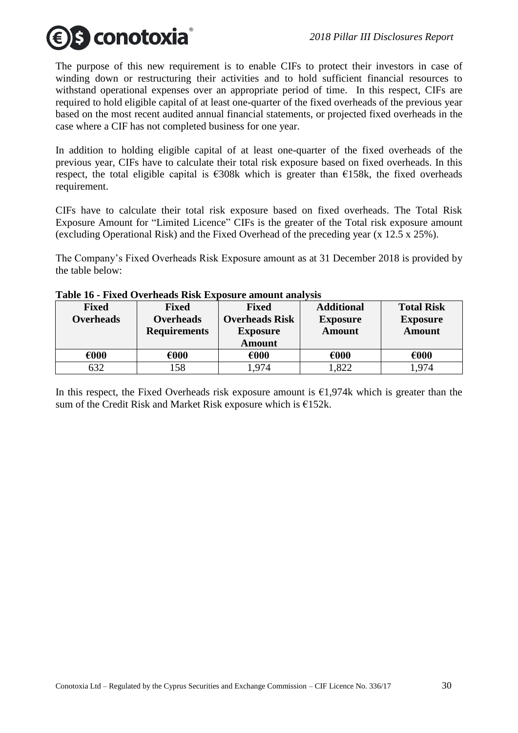

The purpose of this new requirement is to enable CIFs to protect their investors in case of winding down or restructuring their activities and to hold sufficient financial resources to withstand operational expenses over an appropriate period of time. In this respect, CIFs are required to hold eligible capital of at least one-quarter of the fixed overheads of the previous year based on the most recent audited annual financial statements, or projected fixed overheads in the case where a CIF has not completed business for one year.

In addition to holding eligible capital of at least one-quarter of the fixed overheads of the previous year, CIFs have to calculate their total risk exposure based on fixed overheads. In this respect, the total eligible capital is  $\epsilon$ 308k which is greater than  $\epsilon$ 158k, the fixed overheads requirement.

CIFs have to calculate their total risk exposure based on fixed overheads. The Total Risk Exposure Amount for "Limited Licence" CIFs is the greater of the Total risk exposure amount (excluding Operational Risk) and the Fixed Overhead of the preceding year (x 12.5 x 25%).

The Company's Fixed Overheads Risk Exposure amount as at 31 December 2018 is provided by the table below:

| <b>Fixed</b><br><b>Overheads</b> | <b>Fixed</b><br><b>Overheads</b><br><b>Requirements</b> | <b>Fixed</b><br><b>Overheads Risk</b><br><b>Exposure</b><br><b>Amount</b> | <b>Additional</b><br><b>Exposure</b><br><b>Amount</b> | <b>Total Risk</b><br><b>Exposure</b><br><b>Amount</b> |
|----------------------------------|---------------------------------------------------------|---------------------------------------------------------------------------|-------------------------------------------------------|-------------------------------------------------------|
| €000                             | €000                                                    | €000                                                                      | €000                                                  | €000                                                  |
| 632                              | .58                                                     | .974                                                                      | ,822                                                  | .974                                                  |

#### **Table 16 - Fixed Overheads Risk Exposure amount analysis**

In this respect, the Fixed Overheads risk exposure amount is  $\epsilon$ 1,974k which is greater than the sum of the Credit Risk and Market Risk exposure which is  $E152k$ .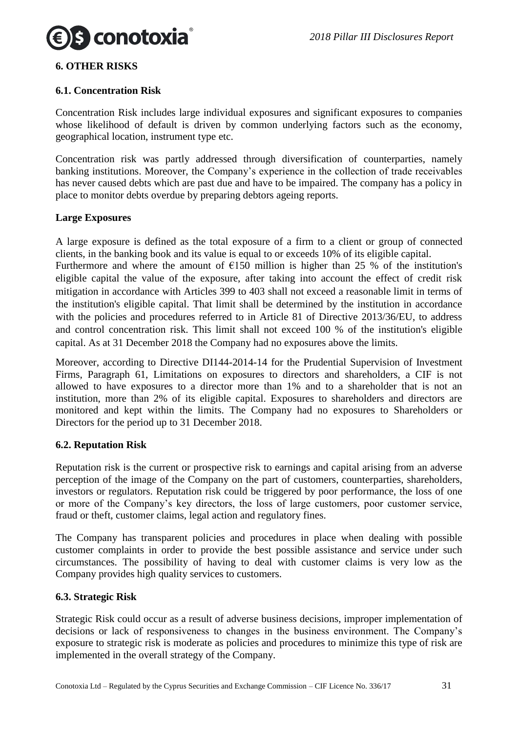

#### <span id="page-30-0"></span>**6. OTHER RISKS**

#### <span id="page-30-1"></span>**6.1. Concentration Risk**

Concentration Risk includes large individual exposures and significant exposures to companies whose likelihood of default is driven by common underlying factors such as the economy, geographical location, instrument type etc.

Concentration risk was partly addressed through diversification of counterparties, namely banking institutions. Moreover, the Company's experience in the collection of trade receivables has never caused debts which are past due and have to be impaired. The company has a policy in place to monitor debts overdue by preparing debtors ageing reports.

#### **Large Exposures**

A large exposure is defined as the total exposure of a firm to a client or group of connected clients, in the banking book and its value is equal to or exceeds 10% of its eligible capital.

Furthermore and where the amount of  $\epsilon$ 150 million is higher than 25 % of the institution's eligible capital the value of the exposure, after taking into account the effect of credit risk mitigation in accordance with Articles 399 to 403 shall not exceed a reasonable limit in terms of the institution's eligible capital. That limit shall be determined by the institution in accordance with the policies and procedures referred to in Article 81 of Directive 2013/36/EU, to address and control concentration risk. This limit shall not exceed 100 % of the institution's eligible capital. As at 31 December 2018 the Company had no exposures above the limits.

Moreover, according to Directive DI144-2014-14 for the Prudential Supervision of Investment Firms, Paragraph 61, Limitations on exposures to directors and shareholders, a CIF is not allowed to have exposures to a director more than 1% and to a shareholder that is not an institution, more than 2% of its eligible capital. Exposures to shareholders and directors are monitored and kept within the limits. The Company had no exposures to Shareholders or Directors for the period up to 31 December 2018.

# <span id="page-30-2"></span>**6.2. Reputation Risk**

Reputation risk is the current or prospective risk to earnings and capital arising from an adverse perception of the image of the Company on the part of customers, counterparties, shareholders, investors or regulators. Reputation risk could be triggered by poor performance, the loss of one or more of the Company's key directors, the loss of large customers, poor customer service, fraud or theft, customer claims, legal action and regulatory fines.

The Company has transparent policies and procedures in place when dealing with possible customer complaints in order to provide the best possible assistance and service under such circumstances. The possibility of having to deal with customer claims is very low as the Company provides high quality services to customers.

#### <span id="page-30-3"></span>**6.3. Strategic Risk**

Strategic Risk could occur as a result of adverse business decisions, improper implementation of decisions or lack of responsiveness to changes in the business environment. The Company's exposure to strategic risk is moderate as policies and procedures to minimize this type of risk are implemented in the overall strategy of the Company.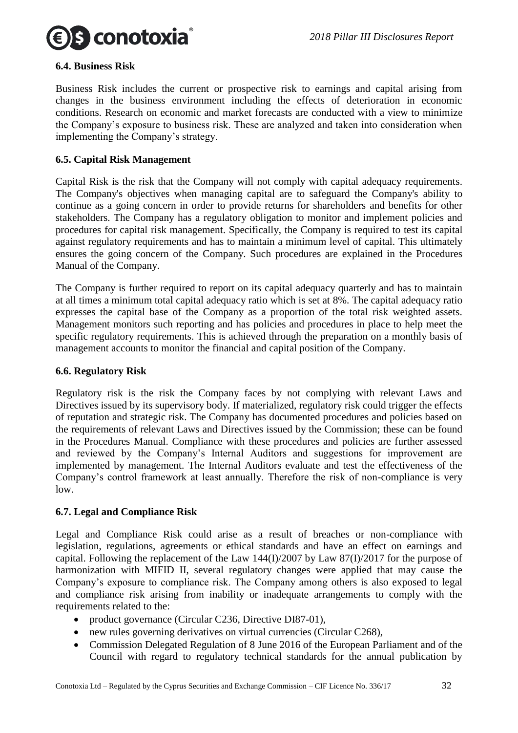

#### <span id="page-31-0"></span>**6.4. Business Risk**

Business Risk includes the current or prospective risk to earnings and capital arising from changes in the business environment including the effects of deterioration in economic conditions. Research on economic and market forecasts are conducted with a view to minimize the Company's exposure to business risk. These are analyzed and taken into consideration when implementing the Company's strategy.

#### <span id="page-31-1"></span>**6.5. Capital Risk Management**

Capital Risk is the risk that the Company will not comply with capital adequacy requirements. The Company's objectives when managing capital are to safeguard the Company's ability to continue as a going concern in order to provide returns for shareholders and benefits for other stakeholders. The Company has a regulatory obligation to monitor and implement policies and procedures for capital risk management. Specifically, the Company is required to test its capital against regulatory requirements and has to maintain a minimum level of capital. This ultimately ensures the going concern of the Company. Such procedures are explained in the Procedures Manual of the Company.

The Company is further required to report on its capital adequacy quarterly and has to maintain at all times a minimum total capital adequacy ratio which is set at 8%. The capital adequacy ratio expresses the capital base of the Company as a proportion of the total risk weighted assets. Management monitors such reporting and has policies and procedures in place to help meet the specific regulatory requirements. This is achieved through the preparation on a monthly basis of management accounts to monitor the financial and capital position of the Company.

#### <span id="page-31-2"></span>**6.6. Regulatory Risk**

Regulatory risk is the risk the Company faces by not complying with relevant Laws and Directives issued by its supervisory body. If materialized, regulatory risk could trigger the effects of reputation and strategic risk. The Company has documented procedures and policies based on the requirements of relevant Laws and Directives issued by the Commission; these can be found in the Procedures Manual. Compliance with these procedures and policies are further assessed and reviewed by the Company's Internal Auditors and suggestions for improvement are implemented by management. The Internal Auditors evaluate and test the effectiveness of the Company's control framework at least annually. Therefore the risk of non-compliance is very low.

#### <span id="page-31-3"></span>**6.7. Legal and Compliance Risk**

Legal and Compliance Risk could arise as a result of breaches or non-compliance with legislation, regulations, agreements or ethical standards and have an effect on earnings and capital. Following the replacement of the Law 144(I)/2007 by Law 87(I)/2017 for the purpose of harmonization with MIFID II, several regulatory changes were applied that may cause the Company's exposure to compliance risk. The Company among others is also exposed to legal and compliance risk arising from inability or inadequate arrangements to comply with the requirements related to the:

- product governance (Circular C236, Directive DI87-01),
- new rules governing derivatives on virtual currencies (Circular C268),
- Commission Delegated Regulation of 8 June 2016 of the European Parliament and of the Council with regard to regulatory technical standards for the annual publication by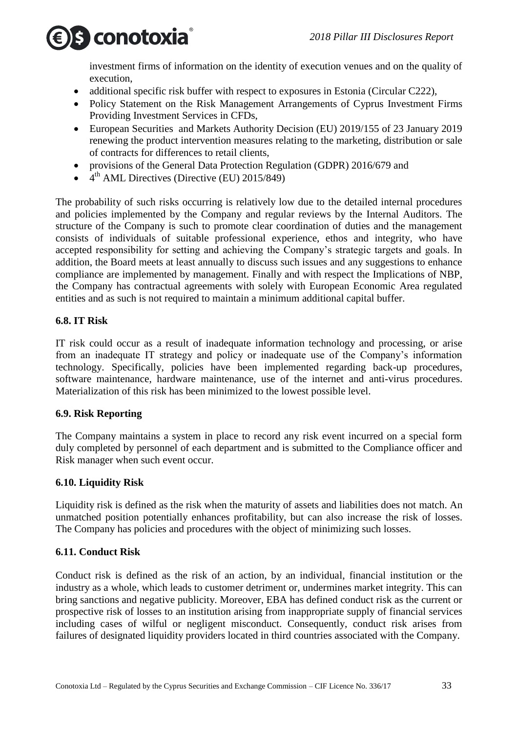

investment firms of information on the identity of execution venues and on the quality of execution,

- additional specific risk buffer with respect to exposures in Estonia (Circular C222),
- Policy Statement on the Risk Management Arrangements of Cyprus Investment Firms Providing Investment Services in CFDs,
- European Securities and Markets Authority Decision (EU) 2019/155 of 23 January 2019 renewing the product intervention measures relating to the marketing, distribution or sale of contracts for differences to retail clients,
- provisions of the General Data Protection Regulation (GDPR) 2016/679 and
- $\bullet$  4<sup>th</sup> AML Directives (Directive (EU) 2015/849)

The probability of such risks occurring is relatively low due to the detailed internal procedures and policies implemented by the Company and regular reviews by the Internal Auditors. The structure of the Company is such to promote clear coordination of duties and the management consists of individuals of suitable professional experience, ethos and integrity, who have accepted responsibility for setting and achieving the Company's strategic targets and goals. In addition, the Board meets at least annually to discuss such issues and any suggestions to enhance compliance are implemented by management. Finally and with respect the Implications of NBP, the Company has contractual agreements with solely with European Economic Area regulated entities and as such is not required to maintain a minimum additional capital buffer.

# <span id="page-32-0"></span>**6.8. IT Risk**

IT risk could occur as a result of inadequate information technology and processing, or arise from an inadequate IT strategy and policy or inadequate use of the Company's information technology. Specifically, policies have been implemented regarding back-up procedures, software maintenance, hardware maintenance, use of the internet and anti-virus procedures. Materialization of this risk has been minimized to the lowest possible level.

# <span id="page-32-1"></span>**6.9. Risk Reporting**

The Company maintains a system in place to record any risk event incurred on a special form duly completed by personnel of each department and is submitted to the Compliance officer and Risk manager when such event occur.

# <span id="page-32-2"></span>**6.10. Liquidity Risk**

Liquidity risk is defined as the risk when the maturity of assets and liabilities does not match. An unmatched position potentially enhances profitability, but can also increase the risk of losses. The Company has policies and procedures with the object of minimizing such losses.

# <span id="page-32-3"></span>**6.11. Conduct Risk**

Conduct risk is defined as the risk of an action, by an individual, financial institution or the industry as a whole, which leads to customer detriment or, undermines market integrity. This can bring sanctions and negative publicity. Moreover, EBA has defined conduct risk as the current or prospective risk of losses to an institution arising from inappropriate supply of financial services including cases of wilful or negligent misconduct. Consequently, conduct risk arises from failures of designated liquidity providers located in third countries associated with the Company.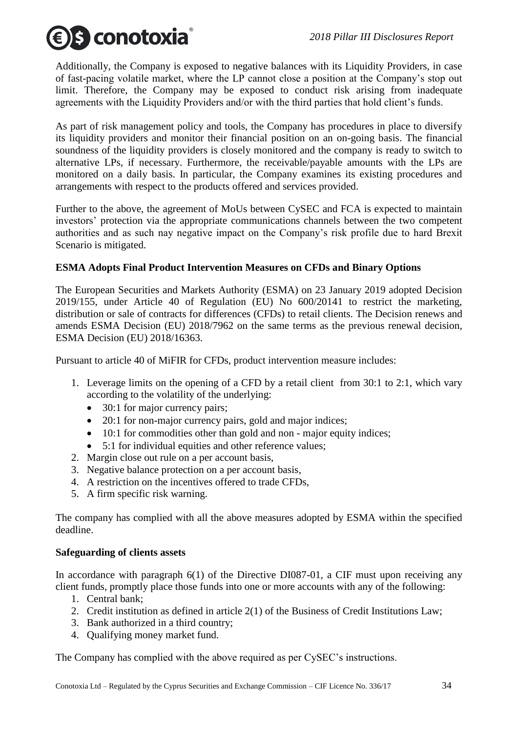

Additionally, the Company is exposed to negative balances with its Liquidity Providers, in case of fast-pacing volatile market, where the LP cannot close a position at the Company's stop out limit. Therefore, the Company may be exposed to conduct risk arising from inadequate agreements with the Liquidity Providers and/or with the third parties that hold client's funds.

As part of risk management policy and tools, the Company has procedures in place to diversify its liquidity providers and monitor their financial position on an on-going basis. The financial soundness of the liquidity providers is closely monitored and the company is ready to switch to alternative LPs, if necessary. Furthermore, the receivable/payable amounts with the LPs are monitored on a daily basis. In particular, the Company examines its existing procedures and arrangements with respect to the products offered and services provided.

Further to the above, the agreement of MoUs between CySEC and FCA is expected to maintain investors' protection via the appropriate communications channels between the two competent authorities and as such nay negative impact on the Company's risk profile due to hard Brexit Scenario is mitigated.

# **ESMA Adopts Final Product Intervention Measures on CFDs and Binary Options**

The European Securities and Markets Authority (ESMA) on 23 January 2019 adopted Decision 2019/155, under Article 40 of Regulation (EU) No 600/20141 to restrict the marketing, distribution or sale of contracts for differences (CFDs) to retail clients. The Decision renews and amends ESMA Decision (EU) 2018/7962 on the same terms as the previous renewal decision, ESMA Decision (EU) 2018/16363.

Pursuant to article 40 of MiFIR for CFDs, product intervention measure includes:

- 1. Leverage limits on the opening of a CFD by a retail client from 30:1 to 2:1, which vary according to the volatility of the underlying:
	- 30:1 for major currency pairs;
	- 20:1 for non-major currency pairs, gold and major indices;
	- 10:1 for commodities other than gold and non major equity indices;
	- 5:1 for individual equities and other reference values;
- 2. Margin close out rule on a per account basis,
- 3. Negative balance protection on a per account basis,
- 4. A restriction on the incentives offered to trade CFDs,
- 5. A firm specific risk warning.

The company has complied with all the above measures adopted by ESMA within the specified deadline.

#### **Safeguarding of clients assets**

In accordance with paragraph 6(1) of the Directive DI087-01, a CIF must upon receiving any client funds, promptly place those funds into one or more accounts with any of the following:

- 1. Central bank;
- 2. Credit institution as defined in article 2(1) of the Business of Credit Institutions Law;
- 3. Bank authorized in a third country;
- 4. Qualifying money market fund.

The Company has complied with the above required as per CySEC's instructions.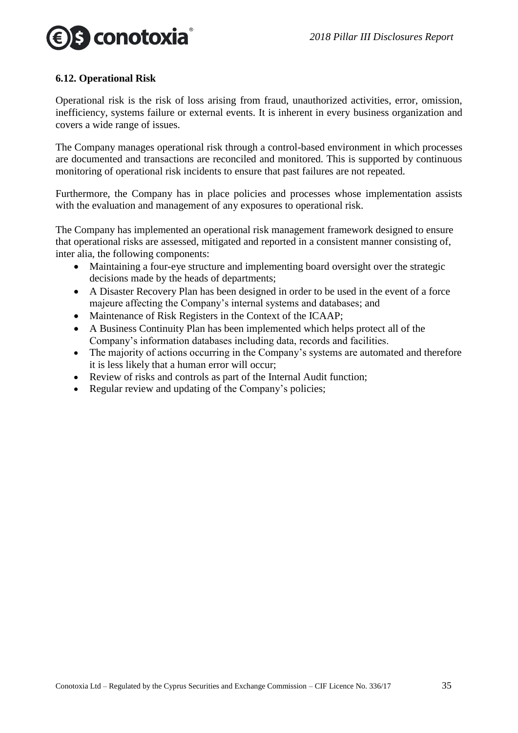

#### <span id="page-34-0"></span>**6.12. Operational Risk**

Operational risk is the risk of loss arising from fraud, unauthorized activities, error, omission, inefficiency, systems failure or external events. It is inherent in every business organization and covers a wide range of issues.

The Company manages operational risk through a control-based environment in which processes are documented and transactions are reconciled and monitored. This is supported by continuous monitoring of operational risk incidents to ensure that past failures are not repeated.

Furthermore, the Company has in place policies and processes whose implementation assists with the evaluation and management of any exposures to operational risk.

The Company has implemented an operational risk management framework designed to ensure that operational risks are assessed, mitigated and reported in a consistent manner consisting of, inter alia, the following components:

- Maintaining a four-eye structure and implementing board oversight over the strategic decisions made by the heads of departments;
- A Disaster Recovery Plan has been designed in order to be used in the event of a force majeure affecting the Company's internal systems and databases; and
- Maintenance of Risk Registers in the Context of the ICAAP;
- A Business Continuity Plan has been implemented which helps protect all of the Company's information databases including data, records and facilities.
- The majority of actions occurring in the Company's systems are automated and therefore it is less likely that a human error will occur;
- Review of risks and controls as part of the Internal Audit function;
- Regular review and updating of the Company's policies;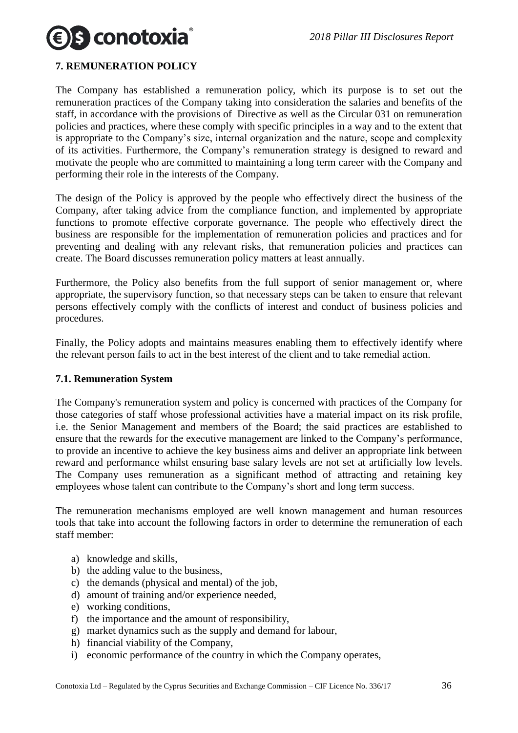# S conotoxia

# <span id="page-35-0"></span>**7. REMUNERATION POLICY**

The Company has established a remuneration policy, which its purpose is to set out the remuneration practices of the Company taking into consideration the salaries and benefits of the staff, in accordance with the provisions of Directive as well as the Circular 031 on remuneration policies and practices, where these comply with specific principles in a way and to the extent that is appropriate to the Company's size, internal organization and the nature, scope and complexity of its activities. Furthermore, the Company's remuneration strategy is designed to reward and motivate the people who are committed to maintaining a long term career with the Company and performing their role in the interests of the Company.

The design of the Policy is approved by the people who effectively direct the business of the Company, after taking advice from the compliance function, and implemented by appropriate functions to promote effective corporate governance. The people who effectively direct the business are responsible for the implementation of remuneration policies and practices and for preventing and dealing with any relevant risks, that remuneration policies and practices can create. The Board discusses remuneration policy matters at least annually.

Furthermore, the Policy also benefits from the full support of senior management or, where appropriate, the supervisory function, so that necessary steps can be taken to ensure that relevant persons effectively comply with the conflicts of interest and conduct of business policies and procedures.

Finally, the Policy adopts and maintains measures enabling them to effectively identify where the relevant person fails to act in the best interest of the client and to take remedial action.

# <span id="page-35-1"></span>**7.1. Remuneration System**

The Company's remuneration system and policy is concerned with practices of the Company for those categories of staff whose professional activities have a material impact on its risk profile, i.e. the Senior Management and members of the Board; the said practices are established to ensure that the rewards for the executive management are linked to the Company's performance, to provide an incentive to achieve the key business aims and deliver an appropriate link between reward and performance whilst ensuring base salary levels are not set at artificially low levels. The Company uses remuneration as a significant method of attracting and retaining key employees whose talent can contribute to the Company's short and long term success.

The remuneration mechanisms employed are well known management and human resources tools that take into account the following factors in order to determine the remuneration of each staff member:

- a) knowledge and skills,
- b) the adding value to the business,
- c) the demands (physical and mental) of the job,
- d) amount of training and/or experience needed,
- e) working conditions,
- f) the importance and the amount of responsibility,
- g) market dynamics such as the supply and demand for labour,
- h) financial viability of the Company,
- i) economic performance of the country in which the Company operates,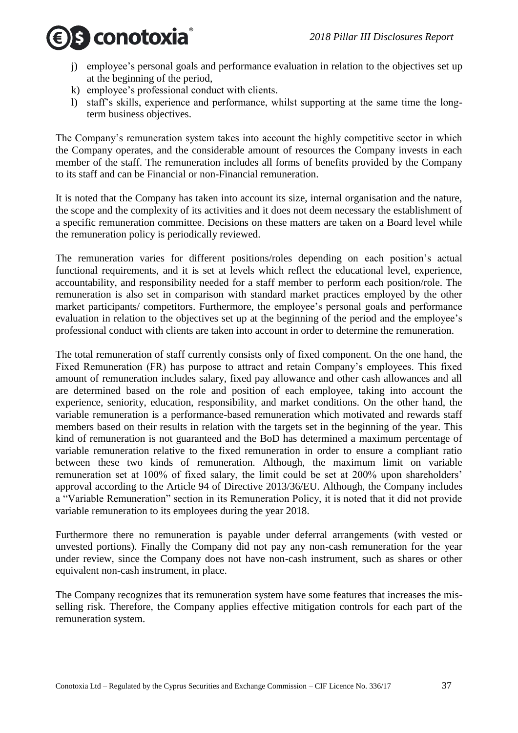

- j) employee's personal goals and performance evaluation in relation to the objectives set up at the beginning of the period,
- k) employee's professional conduct with clients.
- l) staff's skills, experience and performance, whilst supporting at the same time the longterm business objectives.

The Company's remuneration system takes into account the highly competitive sector in which the Company operates, and the considerable amount of resources the Company invests in each member of the staff. The remuneration includes all forms of benefits provided by the Company to its staff and can be Financial or non-Financial remuneration.

It is noted that the Company has taken into account its size, internal organisation and the nature, the scope and the complexity of its activities and it does not deem necessary the establishment of a specific remuneration committee. Decisions on these matters are taken on a Board level while the remuneration policy is periodically reviewed.

The remuneration varies for different positions/roles depending on each position's actual functional requirements, and it is set at levels which reflect the educational level, experience, accountability, and responsibility needed for a staff member to perform each position/role. The remuneration is also set in comparison with standard market practices employed by the other market participants/ competitors. Furthermore, the employee's personal goals and performance evaluation in relation to the objectives set up at the beginning of the period and the employee's professional conduct with clients are taken into account in order to determine the remuneration.

The total remuneration of staff currently consists only of fixed component. On the one hand, the Fixed Remuneration (FR) has purpose to attract and retain Company's employees. This fixed amount of remuneration includes salary, fixed pay allowance and other cash allowances and all are determined based on the role and position of each employee, taking into account the experience, seniority, education, responsibility, and market conditions. On the other hand, the variable remuneration is a performance-based remuneration which motivated and rewards staff members based on their results in relation with the targets set in the beginning of the year. This kind of remuneration is not guaranteed and the BoD has determined a maximum percentage of variable remuneration relative to the fixed remuneration in order to ensure a compliant ratio between these two kinds of remuneration. Although, the maximum limit on variable remuneration set at 100% of fixed salary, the limit could be set at 200% upon shareholders' approval according to the Article 94 of Directive 2013/36/EU. Although, the Company includes a "Variable Remuneration" section in its Remuneration Policy, it is noted that it did not provide variable remuneration to its employees during the year 2018.

Furthermore there no remuneration is payable under deferral arrangements (with vested or unvested portions). Finally the Company did not pay any non-cash remuneration for the year under review, since the Company does not have non-cash instrument, such as shares or other equivalent non-cash instrument, in place.

The Company recognizes that its remuneration system have some features that increases the misselling risk. Therefore, the Company applies effective mitigation controls for each part of the remuneration system.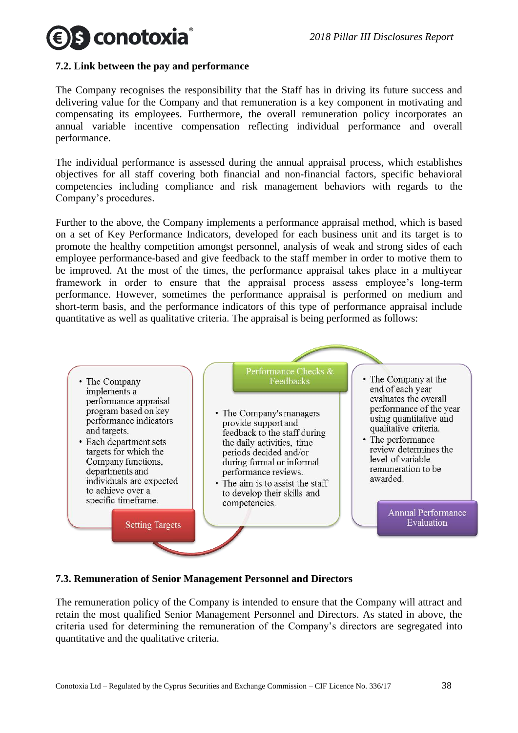# s conotoxia

# <span id="page-37-0"></span>**7.2. Link between the pay and performance**

The Company recognises the responsibility that the Staff has in driving its future success and delivering value for the Company and that remuneration is a key component in motivating and compensating its employees. Furthermore, the overall remuneration policy incorporates an annual variable incentive compensation reflecting individual performance and overall performance.

The individual performance is assessed during the annual appraisal process, which establishes objectives for all staff covering both financial and non-financial factors, specific behavioral competencies including compliance and risk management behaviors with regards to the Company's procedures.

Further to the above, the Company implements a performance appraisal method, which is based on a set of Key Performance Indicators, developed for each business unit and its target is to promote the healthy competition amongst personnel, analysis of weak and strong sides of each employee performance-based and give feedback to the staff member in order to motive them to be improved. At the most of the times, the performance appraisal takes place in a multiyear framework in order to ensure that the appraisal process assess employee's long-term performance. However, sometimes the performance appraisal is performed on medium and short-term basis, and the performance indicators of this type of performance appraisal include quantitative as well as qualitative criteria. The appraisal is being performed as follows:



# <span id="page-37-1"></span>**7.3. Remuneration of Senior Management Personnel and Directors**

The remuneration policy of the Company is intended to ensure that the Company will attract and retain the most qualified Senior Management Personnel and Directors. As stated in above, the criteria used for determining the remuneration of the Company's directors are segregated into quantitative and the qualitative criteria.